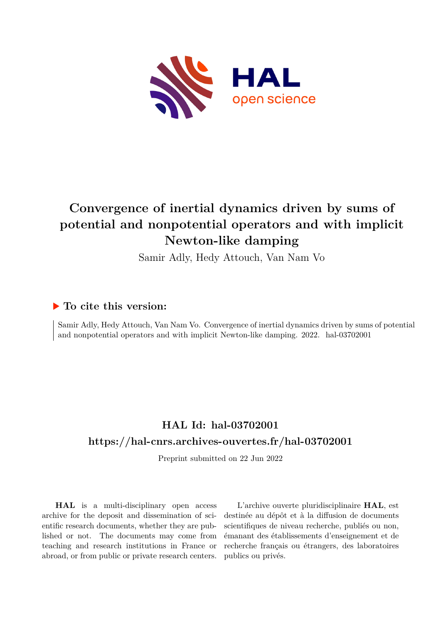

# **Convergence of inertial dynamics driven by sums of potential and nonpotential operators and with implicit Newton-like damping**

Samir Adly, Hedy Attouch, Van Nam Vo

# **To cite this version:**

Samir Adly, Hedy Attouch, Van Nam Vo. Convergence of inertial dynamics driven by sums of potential and nonpotential operators and with implicit Newton-like damping. 2022. hal-03702001

# **HAL Id: hal-03702001 <https://hal-cnrs.archives-ouvertes.fr/hal-03702001>**

Preprint submitted on 22 Jun 2022

**HAL** is a multi-disciplinary open access archive for the deposit and dissemination of scientific research documents, whether they are published or not. The documents may come from teaching and research institutions in France or abroad, or from public or private research centers.

L'archive ouverte pluridisciplinaire **HAL**, est destinée au dépôt et à la diffusion de documents scientifiques de niveau recherche, publiés ou non, émanant des établissements d'enseignement et de recherche français ou étrangers, des laboratoires publics ou privés.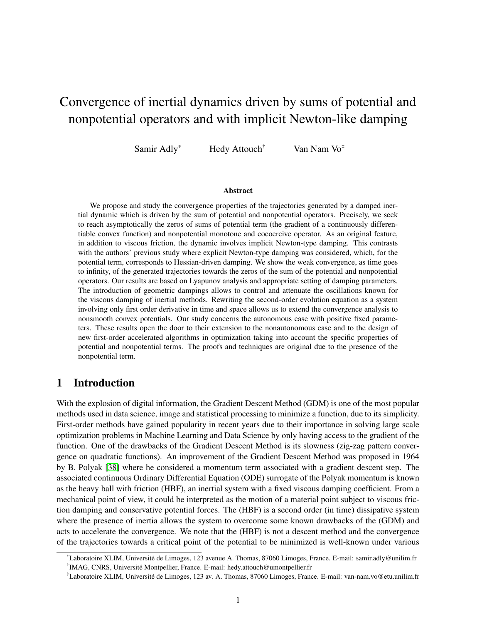# Convergence of inertial dynamics driven by sums of potential and nonpotential operators and with implicit Newton-like damping

Samir Adly\* Hedy Attouch<sup>†</sup> Van Nam Vo<sup>‡</sup>

#### Abstract

We propose and study the convergence properties of the trajectories generated by a damped inertial dynamic which is driven by the sum of potential and nonpotential operators. Precisely, we seek to reach asymptotically the zeros of sums of potential term (the gradient of a continuously differentiable convex function) and nonpotential monotone and cocoercive operator. As an original feature, in addition to viscous friction, the dynamic involves implicit Newton-type damping. This contrasts with the authors' previous study where explicit Newton-type damping was considered, which, for the potential term, corresponds to Hessian-driven damping. We show the weak convergence, as time goes to infinity, of the generated trajectories towards the zeros of the sum of the potential and nonpotential operators. Our results are based on Lyapunov analysis and appropriate setting of damping parameters. The introduction of geometric dampings allows to control and attenuate the oscillations known for the viscous damping of inertial methods. Rewriting the second-order evolution equation as a system involving only first order derivative in time and space allows us to extend the convergence analysis to nonsmooth convex potentials. Our study concerns the autonomous case with positive fixed parameters. These results open the door to their extension to the nonautonomous case and to the design of new first-order accelerated algorithms in optimization taking into account the specific properties of potential and nonpotential terms. The proofs and techniques are original due to the presence of the nonpotential term.

# 1 Introduction

With the explosion of digital information, the Gradient Descent Method (GDM) is one of the most popular methods used in data science, image and statistical processing to minimize a function, due to its simplicity. First-order methods have gained popularity in recent years due to their importance in solving large scale optimization problems in Machine Learning and Data Science by only having access to the gradient of the function. One of the drawbacks of the Gradient Descent Method is its slowness (zig-zag pattern convergence on quadratic functions). An improvement of the Gradient Descent Method was proposed in 1964 by B. Polyak [38] where he considered a momentum term associated with a gradient descent step. The associated continuous Ordinary Differential Equation (ODE) surrogate of the Polyak momentum is known as the heavy ball with friction (HBF), an inertial system with a fixed viscous damping coefficient. From a mechanical point of view, it could be interpreted as the motion of a material point subject to viscous friction damping and conservative potential forces. The (HBF) is a second order (in time) dissipative system where the presence of inertia allows the system to overcome some known drawbacks of the (GDM) and acts to accelerate the convergence. We note that the (HBF) is not a descent method and the convergence of the trajectories towards a critical point of the potential to be minimized is well-known under various

<sup>\*</sup>Laboratoire XLIM, Universite de Limoges, 123 avenue A. Thomas, 87060 Limoges, France. E-mail: samir.adly@unilim.fr ´ <sup>†</sup> IMAG, CNRS, Université Montpellier, France. E-mail: hedy.attouch@umontpellier.fr

<sup>‡</sup> Laboratoire XLIM, Universite de Limoges, 123 av. A. Thomas, 87060 Limoges, France. E-mail: van-nam.vo@etu.unilim.fr ´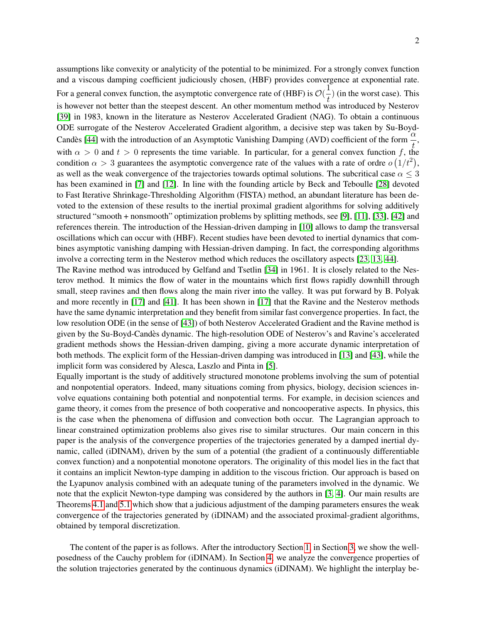assumptions like convexity or analyticity of the potential to be minimized. For a strongly convex function and a viscous damping coefficient judiciously chosen, (HBF) provides convergence at exponential rate. For a general convex function, the asymptotic convergence rate of (HBF) is  $\mathcal{O}(\frac{1}{t})$  $\frac{1}{t}$ ) (in the worst case). This is however not better than the steepest descent. An other momentum method was introduced by Nesterov [39] in 1983, known in the literature as Nesterov Accelerated Gradient (NAG). To obtain a continuous ODE surrogate of the Nesterov Accelerated Gradient algorithm, a decisive step was taken by Su-Boyd-Candes [44] with the introduction of an Asymptotic Vanishing Damping (AVD) coefficient of the form  $\frac{\alpha}{\lambda}$ , t with  $\alpha > 0$  and  $t > 0$  represents the time variable. In particular, for a general convex function f, the condition  $\alpha > 3$  guarantees the asymptotic convergence rate of the values with a rate of ordre  $o(1/t^2)$ , as well as the weak convergence of the trajectories towards optimal solutions. The subcritical case  $\alpha \leq 3$ has been examined in [7] and [12]. In line with the founding article by Beck and Teboulle [28] devoted to Fast Iterative Shrinkage-Thresholding Algorithm (FISTA) method, an abundant literature has been devoted to the extension of these results to the inertial proximal gradient algorithms for solving additively structured "smooth + nonsmooth" optimization problems by splitting methods, see [9], [11], [33], [42] and references therein. The introduction of the Hessian-driven damping in [10] allows to damp the transversal oscillations which can occur with (HBF). Recent studies have been devoted to inertial dynamics that combines asymptotic vanishing damping with Hessian-driven damping. In fact, the corresponding algorithms involve a correcting term in the Nesterov method which reduces the oscillatory aspects [23, 13, 44].

The Ravine method was introduced by Gelfand and Tsetlin [34] in 1961. It is closely related to the Nesterov method. It mimics the flow of water in the mountains which first flows rapidly downhill through small, steep ravines and then flows along the main river into the valley. It was put forward by B. Polyak and more recently in [17] and [41]. It has been shown in [17] that the Ravine and the Nesterov methods have the same dynamic interpretation and they benefit from similar fast convergence properties. In fact, the low resolution ODE (in the sense of [43]) of both Nesterov Accelerated Gradient and the Ravine method is given by the Su-Boyd-Candes dynamic. The high-resolution ODE of Nesterov's and Ravine's accelerated ` gradient methods shows the Hessian-driven damping, giving a more accurate dynamic interpretation of both methods. The explicit form of the Hessian-driven damping was introduced in [13] and [43], while the implicit form was considered by Alesca, Laszlo and Pinta in [5].

Equally important is the study of additively structured monotone problems involving the sum of potential and nonpotential operators. Indeed, many situations coming from physics, biology, decision sciences involve equations containing both potential and nonpotential terms. For example, in decision sciences and game theory, it comes from the presence of both cooperative and noncooperative aspects. In physics, this is the case when the phenomena of diffusion and convection both occur. The Lagrangian approach to linear constrained optimization problems also gives rise to similar structures. Our main concern in this paper is the analysis of the convergence properties of the trajectories generated by a damped inertial dynamic, called (iDINAM), driven by the sum of a potential (the gradient of a continuously differentiable convex function) and a nonpotential monotone operators. The originality of this model lies in the fact that it contains an implicit Newton-type damping in addition to the viscous friction. Our approach is based on the Lyapunov analysis combined with an adequate tuning of the parameters involved in the dynamic. We note that the explicit Newton-type damping was considered by the authors in [3, 4]. Our main results are Theorems 4.1 and 5.1 which show that a judicious adjustment of the damping parameters ensures the weak convergence of the trajectories generated by (iDINAM) and the associated proximal-gradient algorithms, obtained by temporal discretization.

The content of the paper is as follows. After the introductory Section 1, in Section 3, we show the wellposedness of the Cauchy problem for (iDINAM). In Section 4, we analyze the convergence properties of the solution trajectories generated by the continuous dynamics (iDINAM). We highlight the interplay be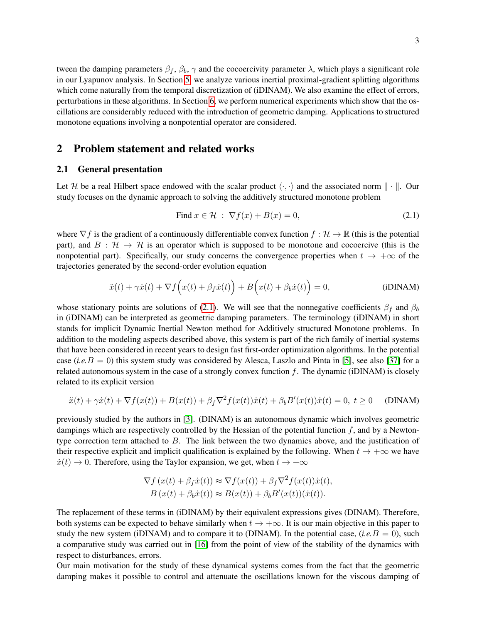tween the damping parameters  $\beta_f$ ,  $\beta_b$ ,  $\gamma$  and the cocoercivity parameter  $\lambda$ , which plays a significant role in our Lyapunov analysis. In Section 5, we analyze various inertial proximal-gradient splitting algorithms which come naturally from the temporal discretization of (iDINAM). We also examine the effect of errors, perturbations in these algorithms. In Section 6, we perform numerical experiments which show that the oscillations are considerably reduced with the introduction of geometric damping. Applications to structured monotone equations involving a nonpotential operator are considered.

## 2 Problem statement and related works

#### 2.1 General presentation

Let H be a real Hilbert space endowed with the scalar product  $\langle \cdot, \cdot \rangle$  and the associated norm  $\| \cdot \|$ . Our study focuses on the dynamic approach to solving the additively structured monotone problem

$$
\text{Find } x \in \mathcal{H} \; : \; \nabla f(x) + B(x) = 0,\tag{2.1}
$$

where  $\nabla f$  is the gradient of a continuously differentiable convex function  $f : \mathcal{H} \to \mathbb{R}$  (this is the potential part), and  $B : \mathcal{H} \to \mathcal{H}$  is an operator which is supposed to be monotone and cocoercive (this is the nonpotential part). Specifically, our study concerns the convergence properties when  $t \to +\infty$  of the trajectories generated by the second-order evolution equation

$$
\ddot{x}(t) + \gamma \dot{x}(t) + \nabla f(x(t) + \beta_f \dot{x}(t)) + B(x(t) + \beta_b \dot{x}(t)) = 0,
$$
 (iDINAM)

whose stationary points are solutions of (2.1). We will see that the nonnegative coefficients  $\beta_f$  and  $\beta_b$ in (iDINAM) can be interpreted as geometric damping parameters. The terminology (iDINAM) in short stands for implicit Dynamic Inertial Newton method for Additively structured Monotone problems. In addition to the modeling aspects described above, this system is part of the rich family of inertial systems that have been considered in recent years to design fast first-order optimization algorithms. In the potential case (*i.e.*B = 0) this system study was considered by Alesca, Laszlo and Pinta in [5], see also [37] for a related autonomous system in the case of a strongly convex function  $f$ . The dynamic (iDINAM) is closely related to its explicit version

$$
\ddot{x}(t) + \gamma \dot{x}(t) + \nabla f(x(t)) + B(x(t)) + \beta_f \nabla^2 f(x(t)) \dot{x}(t) + \beta_b B'(x(t)) \dot{x}(t) = 0, \ t \ge 0 \quad \text{(DINAM)}
$$

previously studied by the authors in [3]. (DINAM) is an autonomous dynamic which involves geometric dampings which are respectively controlled by the Hessian of the potential function  $f$ , and by a Newtontype correction term attached to  $B$ . The link between the two dynamics above, and the justification of their respective explicit and implicit qualification is explained by the following. When  $t \to +\infty$  we have  $\dot{x}(t) \rightarrow 0$ . Therefore, using the Taylor expansion, we get, when  $t \rightarrow +\infty$ 

$$
\nabla f(x(t) + \beta_f \dot{x}(t)) \approx \nabla f(x(t)) + \beta_f \nabla^2 f(x(t)) \dot{x}(t),
$$
  
\n
$$
B(x(t) + \beta_b \dot{x}(t)) \approx B(x(t)) + \beta_b B'(x(t)) (\dot{x}(t)).
$$

The replacement of these terms in (iDINAM) by their equivalent expressions gives (DINAM). Therefore, both systems can be expected to behave similarly when  $t \to +\infty$ . It is our main objective in this paper to study the new system (iDINAM) and to compare it to (DINAM). In the potential case, (*i.e.*B = 0), such a comparative study was carried out in [16] from the point of view of the stability of the dynamics with respect to disturbances, errors.

Our main motivation for the study of these dynamical systems comes from the fact that the geometric damping makes it possible to control and attenuate the oscillations known for the viscous damping of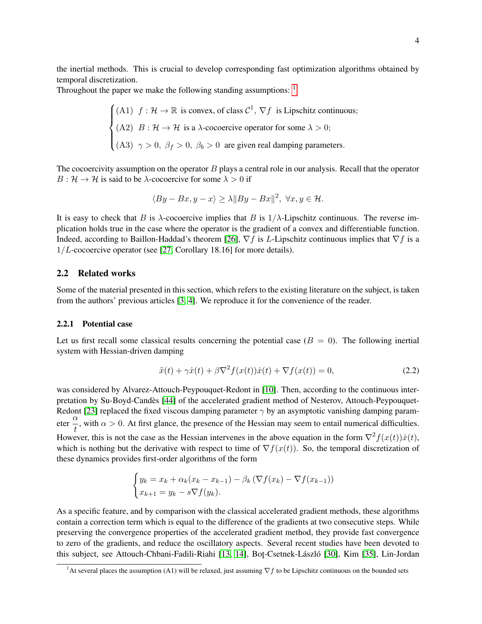the inertial methods. This is crucial to develop corresponding fast optimization algorithms obtained by temporal discretization.

Throughout the paper we make the following standing assumptions:  $1$ 

$$
\begin{cases}\n(A1) & f: \mathcal{H} \to \mathbb{R} \text{ is convex, of class } \mathcal{C}^1, \nabla f \text{ is Lipschitz continuous;} \\
(A2) & B: \mathcal{H} \to \mathcal{H} \text{ is a } \lambda\text{-cocoercive operator for some } \lambda > 0; \\
(A3) & \gamma > 0, \ \beta_f > 0, \ \beta_b > 0 \text{ are given real damping parameters.}\n\end{cases}
$$

The cocoercivity assumption on the operator  $B$  plays a central role in our analysis. Recall that the operator  $B: \mathcal{H} \to \mathcal{H}$  is said to be  $\lambda$ -cocoercive for some  $\lambda > 0$  if

$$
\langle By - Bx, y - x \rangle \ge \lambda \|By - Bx\|^2, \ \forall x, y \in \mathcal{H}.
$$

It is easy to check that B is  $\lambda$ -cocoercive implies that B is  $1/\lambda$ -Lipschitz continuous. The reverse implication holds true in the case where the operator is the gradient of a convex and differentiable function. Indeed, according to Baillon-Haddad's theorem [26],  $\nabla f$  is L-Lipschitz continuous implies that  $\nabla f$  is a  $1/L$ -cocoercive operator (see [27, Corollary 18.16] for more details).

### 2.2 Related works

Some of the material presented in this section, which refers to the existing literature on the subject, is taken from the authors' previous articles [3, 4]. We reproduce it for the convenience of the reader.

#### 2.2.1 Potential case

Let us first recall some classical results concerning the potential case  $(B = 0)$ . The following inertial system with Hessian-driven damping

$$
\ddot{x}(t) + \gamma \dot{x}(t) + \beta \nabla^2 f(x(t)) \dot{x}(t) + \nabla f(x(t)) = 0,
$$
\n(2.2)

was considered by Alvarez-Attouch-Peypouquet-Redont in [10]. Then, according to the continuous interpretation by Su-Boyd-Candès [44] of the accelerated gradient method of Nesterov, Attouch-Peypouquet-Redont [23] replaced the fixed viscous damping parameter  $\gamma$  by an asymptotic vanishing damping parameter  $\frac{\alpha}{\beta}$  $\frac{1}{t}$ , with  $\alpha > 0$ . At first glance, the presence of the Hessian may seem to entail numerical difficulties. However, this is not the case as the Hessian intervenes in the above equation in the form  $\nabla^2 f(x(t))\dot{x}(t)$ , which is nothing but the derivative with respect to time of  $\nabla f(x(t))$ . So, the temporal discretization of these dynamics provides first-order algorithms of the form

$$
\begin{cases} y_k = x_k + \alpha_k (x_k - x_{k-1}) - \beta_k (\nabla f(x_k) - \nabla f(x_{k-1})) \\ x_{k+1} = y_k - s \nabla f(y_k). \end{cases}
$$

As a specific feature, and by comparison with the classical accelerated gradient methods, these algorithms contain a correction term which is equal to the difference of the gradients at two consecutive steps. While preserving the convergence properties of the accelerated gradient method, they provide fast convergence to zero of the gradients, and reduce the oscillatory aspects. Several recent studies have been devoted to this subject, see Attouch-Chbani-Fadili-Riahi [13, 14], Bot<sub>r</sub>-Csetnek-László [30], Kim [35], Lin-Jordan

<sup>&</sup>lt;sup>1</sup>At several places the assumption (A1) will be relaxed, just assuming  $\nabla f$  to be Lipschitz continuous on the bounded sets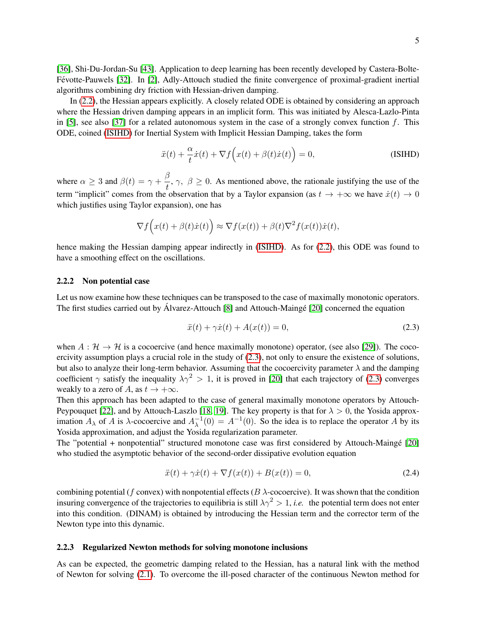In (2.2), the Hessian appears explicitly. A closely related ODE is obtained by considering an approach where the Hessian driven damping appears in an implicit form. This was initiated by Alesca-Lazlo-Pinta in [5], see also [37] for a related autonomous system in the case of a strongly convex function  $f$ . This ODE, coined (ISIHD) for Inertial System with Implicit Hessian Damping, takes the form

$$
\ddot{x}(t) + \frac{\alpha}{t}\dot{x}(t) + \nabla f(x(t) + \beta(t)\dot{x}(t)) = 0,
$$
\n(SIHD)

where  $\alpha \geq 3$  and  $\beta(t) = \gamma + \frac{\beta}{t}$  $\frac{\partial}{\partial t}$ ,  $\gamma$ ,  $\beta \ge 0$ . As mentioned above, the rationale justifying the use of the term "implicit" comes from the observation that by a Taylor expansion (as  $t \to +\infty$  we have  $\dot{x}(t) \to 0$ which justifies using Taylor expansion), one has

$$
\nabla f(x(t) + \beta(t)\dot{x}(t)) \approx \nabla f(x(t)) + \beta(t)\nabla^2 f(x(t))\dot{x}(t),
$$

hence making the Hessian damping appear indirectly in (ISIHD). As for (2.2), this ODE was found to have a smoothing effect on the oscillations.

#### 2.2.2 Non potential case

Let us now examine how these techniques can be transposed to the case of maximally monotonic operators. The first studies carried out by Álvarez-Attouch  $[8]$  and Attouch-Maing  $[20]$  concerned the equation

$$
\ddot{x}(t) + \gamma \dot{x}(t) + A(x(t)) = 0,\t(2.3)
$$

when  $A : \mathcal{H} \to \mathcal{H}$  is a cocoercive (and hence maximally monotone) operator, (see also [29]). The cocoercivity assumption plays a crucial role in the study of (2.3), not only to ensure the existence of solutions, but also to analyze their long-term behavior. Assuming that the cocoercivity parameter  $\lambda$  and the damping coefficient  $\gamma$  satisfy the inequality  $\lambda \gamma^2 > 1$ , it is proved in [20] that each trajectory of (2.3) converges weakly to a zero of A, as  $t \to +\infty$ .

Then this approach has been adapted to the case of general maximally monotone operators by Attouch-Peypouquet [22], and by Attouch-Laszlo [18, 19]. The key property is that for  $\lambda > 0$ , the Yosida approximation  $A_{\lambda}$  of A is  $\lambda$ -cocoercive and  $A_{\lambda}^{-1}$  $_{\lambda}^{-1}(0) = A^{-1}(0)$ . So the idea is to replace the operator A by its Yosida approximation, and adjust the Yosida regularization parameter.

The "potential + nonpotential" structured monotone case was first considered by Attouch-Mainge [20] ´ who studied the asymptotic behavior of the second-order dissipative evolution equation

$$
\ddot{x}(t) + \gamma \dot{x}(t) + \nabla f(x(t)) + B(x(t)) = 0,\t(2.4)
$$

combining potential (f convex) with nonpotential effects ( $B \lambda$ -cocoercive). It was shown that the condition insuring convergence of the trajectories to equilibria is still  $\lambda \gamma^2 > 1$ , *i.e.* the potential term does not enter into this condition. (DINAM) is obtained by introducing the Hessian term and the corrector term of the Newton type into this dynamic.

#### 2.2.3 Regularized Newton methods for solving monotone inclusions

As can be expected, the geometric damping related to the Hessian, has a natural link with the method of Newton for solving (2.1). To overcome the ill-posed character of the continuous Newton method for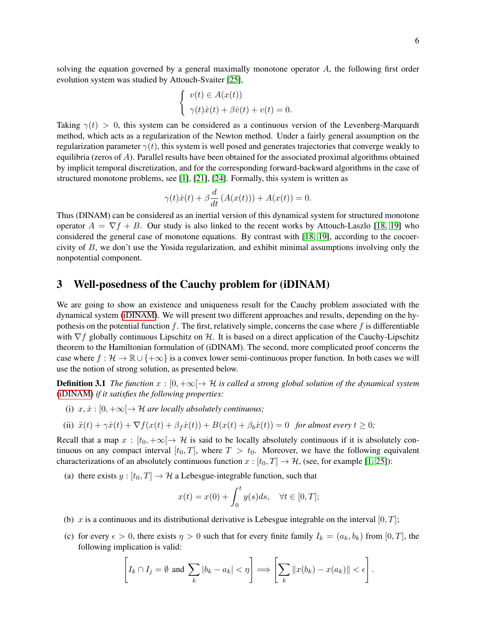solving the equation governed by a general maximally monotone operator  $A$ , the following first order evolution system was studied by Attouch-Svaiter [25],

$$
\begin{cases}\nv(t) \in A(x(t)) \\
\gamma(t)\dot{x}(t) + \beta \dot{v}(t) + v(t) = 0.\n\end{cases}
$$

Taking  $\gamma(t) > 0$ , this system can be considered as a continuous version of the Levenberg-Marquardt method, which acts as a regularization of the Newton method. Under a fairly general assumption on the regularization parameter  $\gamma(t)$ , this system is well posed and generates trajectories that converge weakly to equilibria (zeros of  $A$ ). Parallel results have been obtained for the associated proximal algorithms obtained by implicit temporal discretization, and for the corresponding forward-backward algorithms in the case of structured monotone problems, see [1], [21], [24]. Formally, this system is written as

$$
\gamma(t)\dot{x}(t) + \beta \frac{d}{dt} (A(x(t))) + A(x(t)) = 0.
$$

Thus (DINAM) can be considered as an inertial version of this dynamical system for structured monotone operator  $A = \nabla f + B$ . Our study is also linked to the recent works by Attouch-Laszlo [18, 19] who considered the general case of monotone equations. By contrast with [18, 19], according to the cocoercivity of  $B$ , we don't use the Yosida regularization, and exhibit minimal assumptions involving only the nonpotential component.

## 3 Well-posedness of the Cauchy problem for (iDINAM)

We are going to show an existence and uniqueness result for the Cauchy problem associated with the dynamical system (iDINAM). We will present two different approaches and results, depending on the hypothesis on the potential function f. The first, relatively simple, concerns the case where f is differentiable with  $\nabla f$  globally continuous Lipschitz on H. It is based on a direct application of the Cauchy-Lipschitz theorem to the Hamiltonian formulation of (iDINAM). The second, more complicated proof concerns the case where  $f : \mathcal{H} \to \mathbb{R} \cup \{+\infty\}$  is a convex lower semi-continuous proper function. In both cases we will use the notion of strong solution, as presented below.

**Definition 3.1** *The function*  $x : [0, +\infty] \to H$  *is called a strong global solution of the dynamical system* (iDINAM) *if it satisfies the following properties:*

(i)  $x, \dot{x}: [0, +\infty] \rightarrow \mathcal{H}$  are locally absolutely continuous;

(ii) 
$$
\ddot{x}(t) + \gamma \dot{x}(t) + \nabla f(x(t) + \beta_f \dot{x}(t)) + B(x(t) + \beta_b \dot{x}(t)) = 0 \text{ for almost every } t \ge 0;
$$

Recall that a map  $x : [t_0, +\infty] \to \mathcal{H}$  is said to be locally absolutely continuous if it is absolutely continuous on any compact interval  $[t_0, T]$ , where  $T > t_0$ . Moreover, we have the following equivalent characterizations of an absolutely continuous function  $x : [t_0, T] \to \mathcal{H}$ , (see, for example [1, 25]):

(a) there exists  $y : [t_0, T] \to H$  a Lebesgue-integrable function, such that

$$
x(t) = x(0) + \int_0^t y(s)ds, \quad \forall t \in [0, T];
$$

- (b) x is a continuous and its distributional derivative is Lebesgue integrable on the interval [0, T];
- (c) for every  $\epsilon > 0$ , there exists  $\eta > 0$  such that for every finite family  $I_k = (a_k, b_k)$  from  $[0, T]$ , the following implication is valid:

$$
\[I_k \cap I_j = \emptyset \text{ and } \sum_k |b_k - a_k| < \eta\] \Longrightarrow \left[\sum_k \|x(b_k) - x(a_k)\| < \epsilon\right]
$$

.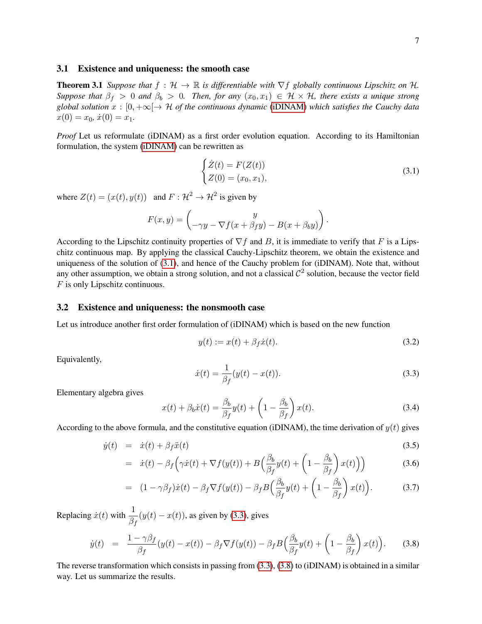#### 3.1 Existence and uniqueness: the smooth case

**Theorem 3.1** *Suppose that*  $f : \mathcal{H} \to \mathbb{R}$  *is differentiable with*  $\nabla f$  *globally continuous Lipschitz on*  $\mathcal{H}$ *. Suppose that*  $\beta_f > 0$  *and*  $\beta_b > 0$ *. Then, for any*  $(x_0, x_1) \in H \times H$ *, there exists a unique strong global solution*  $x : [0, +\infty] \to \mathcal{H}$  *of the continuous dynamic* (iDINAM) *which satisfies the Cauchy data*  $x(0) = x_0, \, \dot{x}(0) = x_1.$ 

*Proof* Let us reformulate (iDINAM) as a first order evolution equation. According to its Hamiltonian formulation, the system (iDINAM) can be rewritten as

$$
\begin{cases}\n\dot{Z}(t) = F(Z(t)) \\
Z(0) = (x_0, x_1),\n\end{cases} (3.1)
$$

where  $Z(t) = (x(t), y(t))$  and  $F: \mathcal{H}^2 \to \mathcal{H}^2$  is given by

$$
F(x,y) = \begin{pmatrix} y \\ -\gamma y - \nabla f(x + \beta_f y) - B(x + \beta_b y) \end{pmatrix}.
$$

According to the Lipschitz continuity properties of  $\nabla f$  and B, it is immediate to verify that F is a Lipschitz continuous map. By applying the classical Cauchy-Lipschitz theorem, we obtain the existence and uniqueness of the solution of (3.1), and hence of the Cauchy problem for (iDINAM). Note that, without any other assumption, we obtain a strong solution, and not a classical  $\mathcal{C}^2$  solution, because the vector field F is only Lipschitz continuous.

#### 3.2 Existence and uniqueness: the nonsmooth case

Let us introduce another first order formulation of (iDINAM) which is based on the new function

$$
y(t) := x(t) + \beta_f \dot{x}(t). \tag{3.2}
$$

Equivalently,

$$
\dot{x}(t) = \frac{1}{\beta_f} (y(t) - x(t)).
$$
\n(3.3)

Elementary algebra gives

$$
x(t) + \beta_b \dot{x}(t) = \frac{\beta_b}{\beta_f} y(t) + \left(1 - \frac{\beta_b}{\beta_f}\right) x(t).
$$
 (3.4)

According to the above formula, and the constitutive equation (iDINAM), the time derivation of  $y(t)$  gives

$$
\dot{y}(t) = \dot{x}(t) + \beta_f \ddot{x}(t) \tag{3.5}
$$

$$
= \dot{x}(t) - \beta_f \left( \gamma \dot{x}(t) + \nabla f(y(t)) + B \left( \frac{\beta_b}{\beta_f} y(t) + \left( 1 - \frac{\beta_b}{\beta_f} \right) x(t) \right) \right) \tag{3.6}
$$

$$
= (1 - \gamma \beta_f) \dot{x}(t) - \beta_f \nabla f(y(t)) - \beta_f B \left( \frac{\beta_b}{\beta_f} y(t) + \left( 1 - \frac{\beta_b}{\beta_f} \right) x(t) \right). \tag{3.7}
$$

Replacing  $\dot{x}(t)$  with  $\frac{1}{2}$  $\frac{1}{\beta_f}(y(t) - x(t))$ , as given by (3.3), gives

$$
\dot{y}(t) = \frac{1 - \gamma \beta_f}{\beta_f} (y(t) - x(t)) - \beta_f \nabla f(y(t)) - \beta_f B \left( \frac{\beta_b}{\beta_f} y(t) + \left( 1 - \frac{\beta_b}{\beta_f} \right) x(t) \right). \tag{3.8}
$$

The reverse transformation which consists in passing from (3.3), (3.8) to (iDINAM) is obtained in a similar way. Let us summarize the results.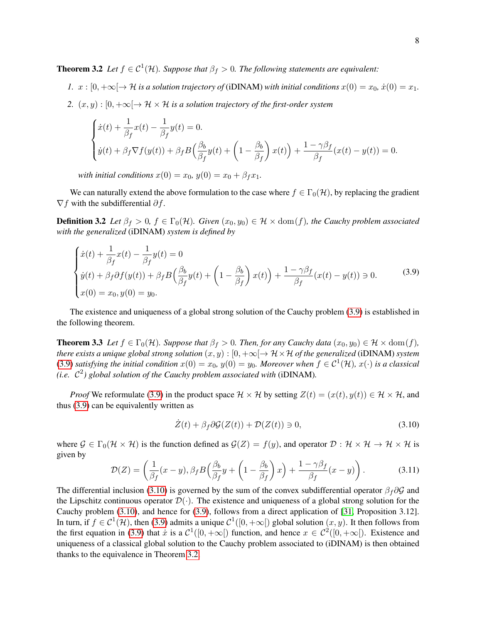**Theorem 3.2** Let  $f \in C^1(\mathcal{H})$ . Suppose that  $\beta_f > 0$ . The following statements are equivalent:

- *1.*  $x : [0, +\infty] \rightarrow \mathcal{H}$  *is a solution trajectory of* (iDINAM) *with initial conditions*  $x(0) = x_0, \dot{x}(0) = x_1$ .
- *2.*  $(x, y)$ :  $[0, +\infty] \rightarrow \mathcal{H} \times \mathcal{H}$  *is a solution trajectory of the first-order system*

$$
\begin{cases}\n\dot{x}(t) + \frac{1}{\beta_f}x(t) - \frac{1}{\beta_f}y(t) = 0. \\
\dot{y}(t) + \beta_f \nabla f(y(t)) + \beta_f B \left(\frac{\beta_b}{\beta_f}y(t) + \left(1 - \frac{\beta_b}{\beta_f}\right)x(t)\right) + \frac{1 - \gamma\beta_f}{\beta_f}(x(t) - y(t)) = 0.\n\end{cases}
$$

*with initial conditions*  $x(0) = x_0, y(0) = x_0 + \beta_f x_1$ .

We can naturally extend the above formulation to the case where  $f \in \Gamma_0(\mathcal{H})$ , by replacing the gradient  $\nabla f$  with the subdifferential  $\partial f$ .

**Definition 3.2** Let  $\beta_f > 0$ ,  $f \in \Gamma_0(\mathcal{H})$ . Given  $(x_0, y_0) \in \mathcal{H} \times \text{dom}(f)$ , the Cauchy problem associated *with the generalized* (iDINAM) *system is defined by*

$$
\begin{cases}\n\dot{x}(t) + \frac{1}{\beta_f}x(t) - \frac{1}{\beta_f}y(t) = 0 \\
\dot{y}(t) + \beta_f \partial f(y(t)) + \beta_f B\left(\frac{\beta_b}{\beta_f}y(t) + \left(1 - \frac{\beta_b}{\beta_f}\right)x(t)\right) + \frac{1 - \gamma\beta_f}{\beta_f}(x(t) - y(t)) \ni 0. \\
x(0) = x_0, y(0) = y_0.\n\end{cases} \tag{3.9}
$$

The existence and uniqueness of a global strong solution of the Cauchy problem (3.9) is established in the following theorem.

**Theorem 3.3** *Let*  $f \in \Gamma_0(\mathcal{H})$ *. Suppose that*  $\beta_f > 0$ *. Then, for any Cauchy data*  $(x_0, y_0) \in \mathcal{H} \times \text{dom}(f)$ *, there exists a unique global strong solution*  $(x, y) : [0, +\infty[ \to \mathcal{H} \times \mathcal{H}$  *of the generalized* (iDINAM) *system* (3.9) *satisfying the initial condition*  $x(0) = x_0$ ,  $y(0) = y_0$ . Moreover when  $f \in C^1(\mathcal{H})$ ,  $x(\cdot)$  *is a classical* (*i.e.*  $\mathcal{C}^2$ ) global solution of the Cauchy problem associated with (iDINAM).

*Proof* We reformulate (3.9) in the product space  $\mathcal{H} \times \mathcal{H}$  by setting  $Z(t) = (x(t), y(t)) \in \mathcal{H} \times \mathcal{H}$ , and thus (3.9) can be equivalently written as

$$
\dot{Z}(t) + \beta_f \partial \mathcal{G}(Z(t)) + \mathcal{D}(Z(t)) \ni 0,\tag{3.10}
$$

where  $\mathcal{G} \in \Gamma_0(\mathcal{H} \times \mathcal{H})$  is the function defined as  $\mathcal{G}(Z) = f(y)$ , and operator  $\mathcal{D}: \mathcal{H} \times \mathcal{H} \to \mathcal{H} \times \mathcal{H}$  is given by

$$
\mathcal{D}(Z) = \left(\frac{1}{\beta_f}(x-y), \beta_f B\left(\frac{\beta_b}{\beta_f}y + \left(1 - \frac{\beta_b}{\beta_f}\right)x\right) + \frac{1 - \gamma\beta_f}{\beta_f}(x-y)\right). \tag{3.11}
$$

The differential inclusion (3.10) is governed by the sum of the convex subdifferential operator  $\beta_f \partial \mathcal{G}$  and the Lipschitz continuous operator  $\mathcal{D}(\cdot)$ . The existence and uniqueness of a global strong solution for the Cauchy problem (3.10), and hence for (3.9), follows from a direct application of [31, Proposition 3.12]. In turn, if  $f \in C^1(\mathcal{H})$ , then (3.9) admits a unique  $C^1([0, +\infty[)$  global solution  $(x, y)$ . It then follows from the first equation in (3.9) that  $\dot{x}$  is a  $C^1([0, +\infty[)$  function, and hence  $x \in C^2([0, +\infty[)$ . Existence and uniqueness of a classical global solution to the Cauchy problem associated to (iDINAM) is then obtained thanks to the equivalence in Theorem 3.2.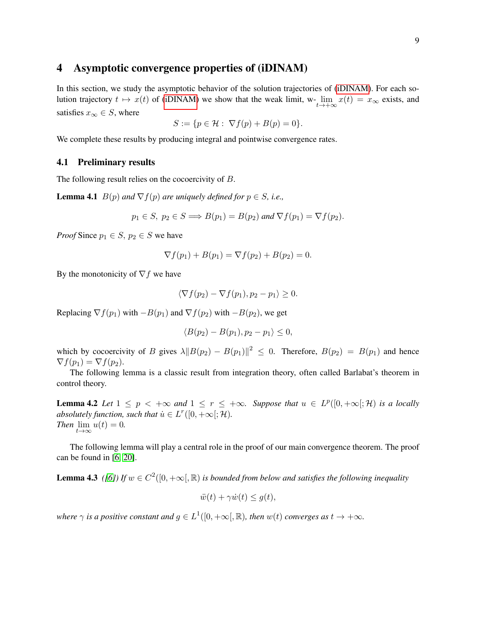## 4 Asymptotic convergence properties of (iDINAM)

In this section, we study the asymptotic behavior of the solution trajectories of (iDINAM). For each solution trajectory  $t \mapsto x(t)$  of (iDINAM) we show that the weak limit, w- $\lim_{t \to +\infty} x(t) = x_{\infty}$  exists, and satisfies  $x_{\infty} \in S$ , where

$$
S := \{ p \in \mathcal{H} : \nabla f(p) + B(p) = 0 \}.
$$

We complete these results by producing integral and pointwise convergence rates.

#### 4.1 Preliminary results

The following result relies on the cocoercivity of B.

**Lemma 4.1**  $B(p)$  *and*  $\nabla f(p)$  *are uniquely defined for*  $p \in S$ *, i.e.,* 

$$
p_1 \in S
$$
,  $p_2 \in S \Longrightarrow B(p_1) = B(p_2)$  and  $\nabla f(p_1) = \nabla f(p_2)$ .

*Proof* Since  $p_1 \in S$ ,  $p_2 \in S$  we have

$$
\nabla f(p_1) + B(p_1) = \nabla f(p_2) + B(p_2) = 0.
$$

By the monotonicity of  $\nabla f$  we have

$$
\langle \nabla f(p_2) - \nabla f(p_1), p_2 - p_1 \rangle \ge 0.
$$

Replacing  $\nabla f(p_1)$  with  $-B(p_1)$  and  $\nabla f(p_2)$  with  $-B(p_2)$ , we get

$$
\langle B(p_2)-B(p_1), p_2-p_1\rangle\leq 0,
$$

which by cocoercivity of B gives  $\lambda \|B(p_2) - B(p_1)\|^2 \leq 0$ . Therefore,  $B(p_2) = B(p_1)$  and hence  $\nabla f(p_1) = \nabla f(p_2).$ 

The following lemma is a classic result from integration theory, often called Barlabat's theorem in control theory.

**Lemma 4.2** Let  $1 \leq p \leq +\infty$  and  $1 \leq r \leq +\infty$ . Suppose that  $u \in L^p([0, +\infty[; \mathcal{H})$  is a locally *absolutely function, such that*  $\dot{u} \in L^r([0, +\infty[; \mathcal{H})$ *. Then*  $\lim_{t\to\infty} u(t) = 0$ .

The following lemma will play a central role in the proof of our main convergence theorem. The proof can be found in [6, 20].

**Lemma 4.3** ([6]) If  $w \in C^2([0, +\infty], \mathbb{R})$  is bounded from below and satisfies the following inequality

$$
\ddot{w}(t) + \gamma \dot{w}(t) \le g(t),
$$

where  $\gamma$  is a positive constant and  $g \in L^1([0, +\infty[$ ,  $\mathbb R)$ , then  $w(t)$  converges as  $t \to +\infty$ .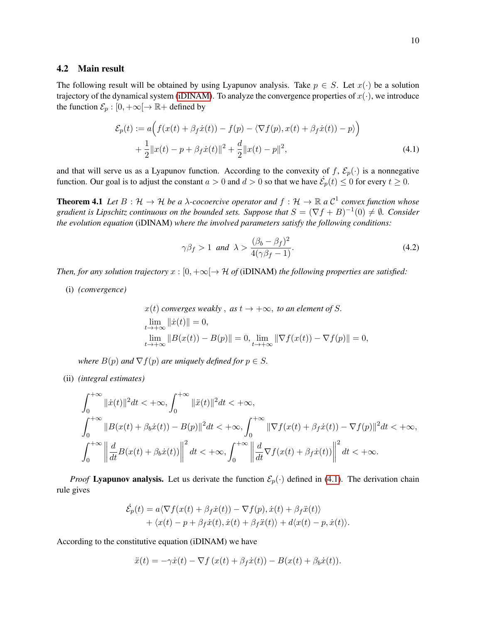#### 4.2 Main result

The following result will be obtained by using Lyapunov analysis. Take  $p \in S$ . Let  $x(\cdot)$  be a solution trajectory of the dynamical system (iDINAM). To analyze the convergence properties of  $x(\cdot)$ , we introduce the function  $\mathcal{E}_p : [0, +\infty[ \to \mathbb{R} + \text{defined by}]$ 

$$
\mathcal{E}_p(t) := a\Big(f(x(t) + \beta_f \dot{x}(t)) - f(p) - \langle \nabla f(p), x(t) + \beta_f \dot{x}(t)) - p \rangle \Big) + \frac{1}{2} ||x(t) - p + \beta_f \dot{x}(t)||^2 + \frac{d}{2} ||x(t) - p||^2,
$$
(4.1)

and that will serve us as a Lyapunov function. According to the convexity of f,  $\mathcal{E}_p(\cdot)$  is a nonnegative function. Our goal is to adjust the constant  $a > 0$  and  $d > 0$  so that we have  $\dot{\mathcal{E}}_p(t) \leq 0$  for every  $t \geq 0$ .

**Theorem 4.1** Let  $B: \mathcal{H} \to \mathcal{H}$  be a  $\lambda$ -cocoercive operator and  $f: \mathcal{H} \to \mathbb{R}$  a  $\mathcal{C}^1$  convex function whose gradient is Lipschitz continuous on the bounded sets. Suppose that  $S=(\nabla f+B)^{-1}(0)\neq \emptyset$ . Consider *the evolution equation* (iDINAM) *where the involved parameters satisfy the following conditions:*

$$
\gamma \beta_f > 1 \text{ and } \lambda > \frac{(\beta_b - \beta_f)^2}{4(\gamma \beta_f - 1)}.
$$
\n(4.2)

*Then, for any solution trajectory*  $x : [0, +\infty] \to \mathcal{H}$  *of* (iDINAM) *the following properties are satisfied:* 

(i) *(convergence)*

$$
x(t) converges weakly, as t \to +\infty, to an element of S.
$$
  
\n
$$
\lim_{t \to +\infty} ||\dot{x}(t)|| = 0,
$$
  
\n
$$
\lim_{t \to +\infty} ||B(x(t)) - B(p)|| = 0, \lim_{t \to +\infty} ||\nabla f(x(t)) - \nabla f(p)|| = 0,
$$

*where*  $B(p)$  *and*  $\nabla f(p)$  *are uniquely defined for*  $p \in S$ *.* 

(ii) *(integral estimates)*

$$
\int_0^{+\infty} \|\dot{x}(t)\|^2 dt < +\infty, \int_0^{+\infty} \|\ddot{x}(t)\|^2 dt < +\infty,
$$
  

$$
\int_0^{+\infty} \|B(x(t) + \beta_b \dot{x}(t)) - B(p)\|^2 dt < +\infty, \int_0^{+\infty} \|\nabla f(x(t) + \beta_f \dot{x}(t)) - \nabla f(p)\|^2 dt < +\infty,
$$
  

$$
\int_0^{+\infty} \left\|\frac{d}{dt}B(x(t) + \beta_b \dot{x}(t))\right\|^2 dt < +\infty, \int_0^{+\infty} \left\|\frac{d}{dt}\nabla f(x(t) + \beta_f \dot{x}(t))\right\|^2 dt < +\infty.
$$

*Proof* Lyapunov analysis. Let us derivate the function  $\mathcal{E}_p(\cdot)$  defined in (4.1). The derivation chain rule gives

$$
\dot{\mathcal{E}}_p(t) = a \langle \nabla f(x(t) + \beta_f \dot{x}(t)) - \nabla f(p), \dot{x}(t) + \beta_f \ddot{x}(t) \rangle + \langle x(t) - p + \beta_f \dot{x}(t), \dot{x}(t) + \beta_f \ddot{x}(t) \rangle + d \langle x(t) - p, \dot{x}(t) \rangle.
$$

According to the constitutive equation (iDINAM) we have

$$
\ddot{x}(t) = -\gamma \dot{x}(t) - \nabla f(x(t) + \beta_f \dot{x}(t)) - B(x(t) + \beta_b \dot{x}(t)).
$$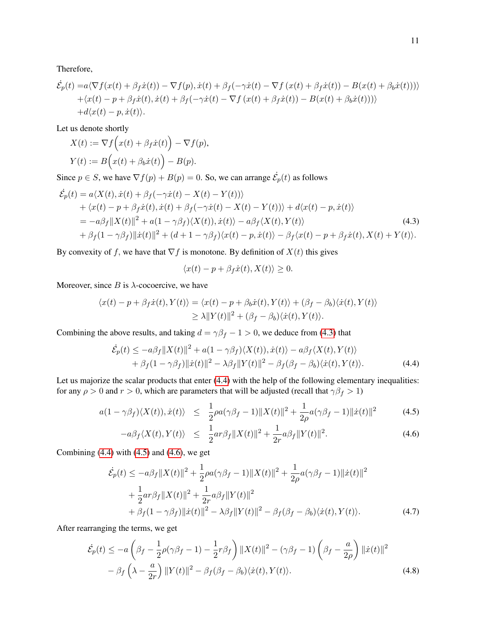Therefore,

$$
\dot{\mathcal{E}}_p(t) = a \langle \nabla f(x(t) + \beta_f \dot{x}(t)) - \nabla f(p), \dot{x}(t) + \beta_f(-\gamma \dot{x}(t) - \nabla f(x(t) + \beta_f \dot{x}(t)) - B(x(t) + \beta_b \dot{x}(t))) \rangle + \langle x(t) - p + \beta_f \dot{x}(t), \dot{x}(t) + \beta_f(-\gamma \dot{x}(t) - \nabla f(x(t) + \beta_f \dot{x}(t)) - B(x(t) + \beta_b \dot{x}(t))) \rangle + d \langle x(t) - p, \dot{x}(t) \rangle.
$$

Let us denote shortly

$$
X(t) := \nabla f(x(t) + \beta_f \dot{x}(t)) - \nabla f(p),
$$
  
\n
$$
Y(t) := B(x(t) + \beta_b \dot{x}(t)) - B(p).
$$

Since  $p \in S$ , we have  $\nabla f(p) + B(p) = 0$ . So, we can arrange  $\dot{\mathcal{E}}_p(t)$  as follows

$$
\dot{\mathcal{E}}_p(t) = a \langle X(t), \dot{x}(t) + \beta_f(-\gamma \dot{x}(t) - X(t) - Y(t)) \rangle \n+ \langle x(t) - p + \beta_f \dot{x}(t), \dot{x}(t) + \beta_f(-\gamma \dot{x}(t) - X(t) - Y(t)) \rangle + d \langle x(t) - p, \dot{x}(t) \rangle \n= -a\beta_f ||X(t)||^2 + a(1 - \gamma \beta_f) \langle X(t), \dot{x}(t) \rangle - a\beta_f \langle X(t), Y(t) \rangle \n+ \beta_f (1 - \gamma \beta_f) ||\dot{x}(t)||^2 + (d + 1 - \gamma \beta_f) \langle x(t) - p, \dot{x}(t) \rangle - \beta_f \langle x(t) - p + \beta_f \dot{x}(t), X(t) + Y(t) \rangle.
$$
\n(4.3)

By convexity of f, we have that  $\nabla f$  is monotone. By definition of  $X(t)$  this gives

$$
\langle x(t) - p + \beta_f \dot{x}(t), X(t) \rangle \ge 0.
$$

Moreover, since  $B$  is  $\lambda$ -cocoercive, we have

$$
\langle x(t) - p + \beta_f \dot{x}(t), Y(t) \rangle = \langle x(t) - p + \beta_b \dot{x}(t), Y(t) \rangle + (\beta_f - \beta_b) \langle \dot{x}(t), Y(t) \rangle
$$
  
\n
$$
\geq \lambda ||Y(t)||^2 + (\beta_f - \beta_b) \langle \dot{x}(t), Y(t) \rangle.
$$

Combining the above results, and taking  $d = \gamma \beta_f - 1 > 0$ , we deduce from (4.3) that

$$
\dot{\mathcal{E}}_p(t) \le -a\beta_f \|X(t)\|^2 + a(1-\gamma\beta_f)\langle X(t)\rangle, \dot{x}(t)\rangle - a\beta_f\langle X(t), Y(t)\rangle + \beta_f(1-\gamma\beta_f) \| \dot{x}(t)\|^2 - \lambda\beta_f \|Y(t)\|^2 - \beta_f(\beta_f - \beta_b)\langle \dot{x}(t), Y(t)\rangle.
$$
\n(4.4)

Let us majorize the scalar products that enter (4.4) with the help of the following elementary inequalities: for any  $\rho > 0$  and  $r > 0$ , which are parameters that will be adjusted (recall that  $\gamma \beta_f > 1$ )

$$
a(1 - \gamma \beta_f) \langle X(t) \rangle, \dot{x}(t) \rangle \leq \frac{1}{2} \rho a(\gamma \beta_f - 1) \|X(t)\|^2 + \frac{1}{2\rho} a(\gamma \beta_f - 1) \|\dot{x}(t)\|^2 \tag{4.5}
$$

$$
-a\beta_f\langle X(t), Y(t) \rangle \le \frac{1}{2}ar\beta_f \|X(t)\|^2 + \frac{1}{2r}a\beta_f \|Y(t)\|^2.
$$
 (4.6)

Combining  $(4.4)$  with  $(4.5)$  and  $(4.6)$ , we get

$$
\dot{\mathcal{E}}_p(t) \le -a\beta_f \|X(t)\|^2 + \frac{1}{2}\rho a(\gamma\beta_f - 1)\|X(t)\|^2 + \frac{1}{2\rho}a(\gamma\beta_f - 1)\|\dot{x}(t)\|^2 \n+ \frac{1}{2}ar\beta_f \|X(t)\|^2 + \frac{1}{2r}a\beta_f \|Y(t)\|^2 \n+ \beta_f(1 - \gamma\beta_f) \|\dot{x}(t)\|^2 - \lambda\beta_f \|Y(t)\|^2 - \beta_f(\beta_f - \beta_b)\langle\dot{x}(t), Y(t)\rangle.
$$
\n(4.7)

After rearranging the terms, we get

$$
\dot{\mathcal{E}}_p(t) \le -a\left(\beta_f - \frac{1}{2}\rho(\gamma\beta_f - 1) - \frac{1}{2}r\beta_f\right) \|X(t)\|^2 - (\gamma\beta_f - 1)\left(\beta_f - \frac{a}{2\rho}\right) \|\dot{x}(t)\|^2 - \beta_f\left(\lambda - \frac{a}{2r}\right) \|Y(t)\|^2 - \beta_f(\beta_f - \beta_b)\langle\dot{x}(t), Y(t)\rangle.
$$
\n(4.8)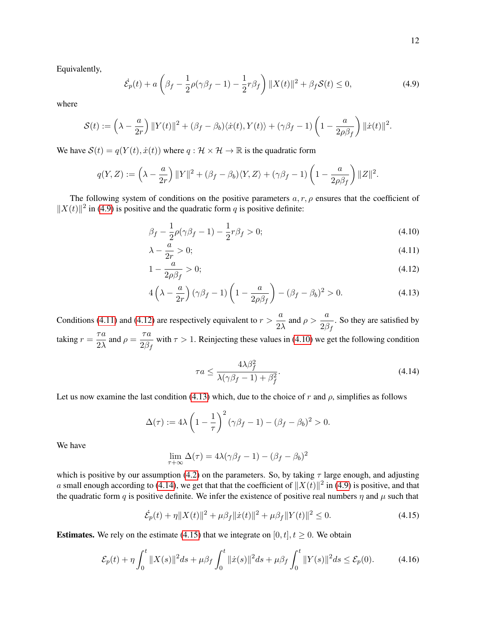Equivalently,

$$
\dot{\mathcal{E}}_p(t) + a\left(\beta_f - \frac{1}{2}\rho(\gamma\beta_f - 1) - \frac{1}{2}r\beta_f\right) ||X(t)||^2 + \beta_f \mathcal{S}(t) \le 0,
$$
\n(4.9)

where

$$
\mathcal{S}(t) := \left(\lambda - \frac{a}{2r}\right) \|Y(t)\|^2 + (\beta_f - \beta_b) \langle \dot{x}(t), Y(t) \rangle + (\gamma \beta_f - 1) \left(1 - \frac{a}{2\rho \beta_f}\right) \|\dot{x}(t)\|^2.
$$

We have  $S(t) = q(Y(t), \dot{x}(t))$  where  $q : \mathcal{H} \times \mathcal{H} \rightarrow \mathbb{R}$  is the quadratic form

$$
q(Y,Z) := \left(\lambda - \frac{a}{2r}\right) ||Y||^2 + (\beta_f - \beta_b)\langle Y, Z\rangle + (\gamma\beta_f - 1)\left(1 - \frac{a}{2\rho\beta_f}\right) ||Z||^2.
$$

The following system of conditions on the positive parameters  $a, r, \rho$  ensures that the coefficient of  $||X(t)||^2$  in (4.9) is positive and the quadratic form q is positive definite:

$$
\beta_f - \frac{1}{2}\rho(\gamma\beta_f - 1) - \frac{1}{2}r\beta_f > 0; \tag{4.10}
$$

$$
\lambda - \frac{a}{2r} > 0; \tag{4.11}
$$

$$
1 - \frac{a}{2\rho\beta_f} > 0; \tag{4.12}
$$

$$
4\left(\lambda - \frac{a}{2r}\right)(\gamma\beta_f - 1)\left(1 - \frac{a}{2\rho\beta_f}\right) - (\beta_f - \beta_b)^2 > 0.
$$
\n(4.13)

Conditions (4.11) and (4.12) are respectively equivalent to  $r > \frac{a}{2}$  $rac{a}{2\lambda}$  and  $\rho > \frac{a}{2\beta}$  $\frac{a}{2\beta_f}$ . So they are satisfied by taking  $r = \frac{\tau a}{2\lambda}$  $rac{\tau a}{2\lambda}$  and  $\rho = \frac{\tau a}{2\beta_1}$  $\frac{7a}{2\beta_f}$  with  $\tau > 1$ . Reinjecting these values in (4.10) we get the following condition

$$
\tau a \le \frac{4\lambda\beta_f^2}{\lambda(\gamma\beta_f - 1) + \beta_f^2}.\tag{4.14}
$$

Let us now examine the last condition (4.13) which, due to the choice of r and  $\rho$ , simplifies as follows

$$
\Delta(\tau) := 4\lambda \left(1 - \frac{1}{\tau}\right)^2 (\gamma \beta_f - 1) - (\beta_f - \beta_b)^2 > 0.
$$

We have

$$
\lim_{\tau+\infty}\Delta(\tau) = 4\lambda(\gamma\beta_f - 1) - (\beta_f - \beta_b)^2
$$

which is positive by our assumption (4.2) on the parameters. So, by taking  $\tau$  large enough, and adjusting a small enough according to (4.14), we get that that the coefficient of  $||X(t)||^2$  in (4.9) is positive, and that the quadratic form q is positive definite. We infer the existence of positive real numbers  $\eta$  and  $\mu$  such that

$$
\dot{\mathcal{E}}_p(t) + \eta \|X(t)\|^2 + \mu \beta_f \|\dot{x}(t)\|^2 + \mu \beta_f \|Y(t)\|^2 \le 0.
$$
 (4.15)

**Estimates.** We rely on the estimate (4.15) that we integrate on [0, t],  $t \ge 0$ . We obtain

$$
\mathcal{E}_p(t) + \eta \int_0^t \|X(s)\|^2 ds + \mu \beta_f \int_0^t \|\dot{x}(s)\|^2 ds + \mu \beta_f \int_0^t \|Y(s)\|^2 ds \le \mathcal{E}_p(0). \tag{4.16}
$$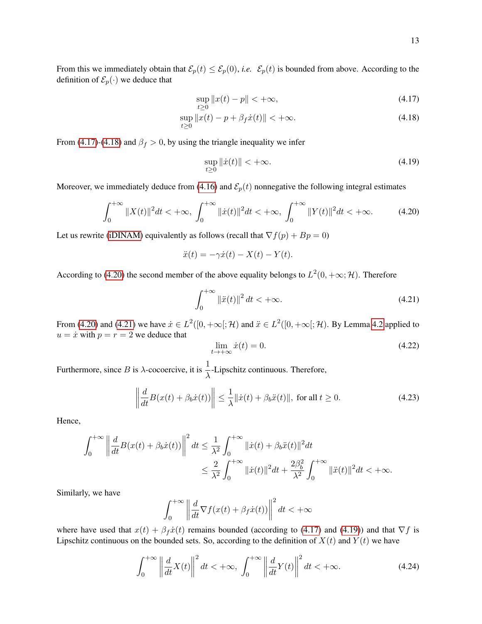13

From this we immediately obtain that  $\mathcal{E}_p(t) \leq \mathcal{E}_p(0)$ , *i.e.*  $\mathcal{E}_p(t)$  is bounded from above. According to the definition of  $\mathcal{E}_p(\cdot)$  we deduce that

$$
\sup_{t \ge 0} \|x(t) - p\| < +\infty,\tag{4.17}
$$

$$
\sup_{t\geq 0} \|x(t) - p + \beta_f \dot{x}(t)\| < +\infty.
$$
\n(4.18)

From (4.17)-(4.18) and  $\beta_f > 0$ , by using the triangle inequality we infer

$$
\sup_{t\geq 0} ||\dot{x}(t)|| < +\infty.
$$
\n(4.19)

Moreover, we immediately deduce from (4.16) and  $\mathcal{E}_p(t)$  nonnegative the following integral estimates

$$
\int_0^{+\infty} \|X(t)\|^2 dt < +\infty, \ \int_0^{+\infty} \| \dot{x}(t) \|^2 dt < +\infty, \ \int_0^{+\infty} \|Y(t)\|^2 dt < +\infty. \tag{4.20}
$$

Let us rewrite (iDINAM) equivalently as follows (recall that  $\nabla f(p) + Bp = 0$ )

$$
\ddot{x}(t) = -\gamma \dot{x}(t) - X(t) - Y(t).
$$

According to (4.20) the second member of the above equality belongs to  $L^2(0, +\infty; \mathcal{H})$ . Therefore

$$
\int_0^{+\infty} \|\ddot{x}(t)\|^2 \, dt < +\infty. \tag{4.21}
$$

From (4.20) and (4.21) we have  $\dot{x} \in L^2([0, +\infty[; \mathcal{H})$  and  $\ddot{x} \in L^2([0, +\infty[; \mathcal{H})$ . By Lemma 4.2 applied to  $u = \dot{x}$  with  $p = r = 2$  we deduce that

$$
\lim_{t \to +\infty} \dot{x}(t) = 0. \tag{4.22}
$$

Furthermore, since *B* is  $\lambda$ -cocoercive, it is  $\frac{1}{\lambda}$ -Lipschitz continuous. Therefore,

$$
\left\| \frac{d}{dt} B(x(t) + \beta_b \dot{x}(t)) \right\| \le \frac{1}{\lambda} ||\dot{x}(t) + \beta_b \ddot{x}(t)||, \text{ for all } t \ge 0.
$$
 (4.23)

Hence,

$$
\int_0^{+\infty} \left\| \frac{d}{dt} B(x(t) + \beta_b \dot{x}(t)) \right\|^2 dt \le \frac{1}{\lambda^2} \int_0^{+\infty} \| \dot{x}(t) + \beta_b \ddot{x}(t) \|^2 dt
$$
  

$$
\le \frac{2}{\lambda^2} \int_0^{+\infty} \| \dot{x}(t) \|^2 dt + \frac{2\beta_b^2}{\lambda^2} \int_0^{+\infty} \| \ddot{x}(t) \|^2 dt < +\infty.
$$

Similarly, we have

$$
\int_0^{+\infty} \left\| \frac{d}{dt} \nabla f(x(t) + \beta_f \dot{x}(t)) \right\|^2 dt < +\infty
$$

where have used that  $x(t) + \beta_f \dot{x}(t)$  remains bounded (according to (4.17) and (4.19)) and that  $\nabla f$  is Lipschitz continuous on the bounded sets. So, according to the definition of  $X(t)$  and  $Y(t)$  we have

$$
\int_0^{+\infty} \left\| \frac{d}{dt} X(t) \right\|^2 dt < +\infty, \ \int_0^{+\infty} \left\| \frac{d}{dt} Y(t) \right\|^2 dt < +\infty. \tag{4.24}
$$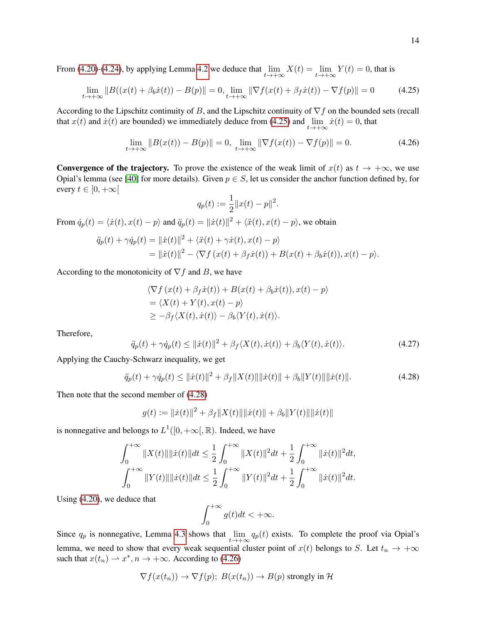From (4.20)-(4.24), by applying Lemma 4.2 we deduce that  $\lim_{t\to+\infty} X(t) = \lim_{t\to+\infty} Y(t) = 0$ , that is

$$
\lim_{t \to +\infty} \|B((x(t) + \beta_b \dot{x}(t)) - B(p)\| = 0, \lim_{t \to +\infty} \|\nabla f(x(t) + \beta_f \dot{x}(t)) - \nabla f(p)\| = 0 \tag{4.25}
$$

According to the Lipschitz continuity of B, and the Lipschitz continuity of  $\nabla f$  on the bounded sets (recall that  $x(t)$  and  $\dot{x}(t)$  are bounded) we immediately deduce from (4.25) and  $\lim_{t \to +\infty} \dot{x}(t) = 0$ , that

$$
\lim_{t \to +\infty} \|B(x(t)) - B(p)\| = 0, \quad \lim_{t \to +\infty} \|\nabla f(x(t)) - \nabla f(p)\| = 0.
$$
\n(4.26)

**Convergence of the trajectory.** To prove the existence of the weak limit of  $x(t)$  as  $t \to +\infty$ , we use Opial's lemma (see [40] for more details). Given  $p \in S$ , let us consider the anchor function defined by, for every  $t \in [0, +\infty[$ 

$$
q_p(t) := \frac{1}{2} ||x(t) - p||^2.
$$

From  $\dot{q}_p(t) = \langle \dot{x}(t), x(t) - p \rangle$  and  $\ddot{q}_p(t) = ||\dot{x}(t)||^2 + \langle \ddot{x}(t), x(t) - p \rangle$ , we obtain

$$
\ddot{q}_p(t) + \gamma \dot{q}_p(t) = ||\dot{x}(t)||^2 + \langle \ddot{x}(t) + \gamma \dot{x}(t), x(t) - p \rangle
$$
  
=  $||\dot{x}(t)||^2 - \langle \nabla f(x(t) + \beta_f \dot{x}(t)) + B(x(t) + \beta_b \dot{x}(t)), x(t) - p \rangle.$ 

According to the monotonicity of  $\nabla f$  and B, we have

$$
\langle \nabla f(x(t) + \beta_f \dot{x}(t)) + B(x(t) + \beta_b \dot{x}(t)), x(t) - p \rangle
$$
  
= 
$$
\langle X(t) + Y(t), x(t) - p \rangle
$$
  

$$
\geq -\beta_f \langle X(t), \dot{x}(t) \rangle - \beta_b \langle Y(t), \dot{x}(t) \rangle.
$$

Therefore,

$$
\ddot{q}_p(t) + \gamma \dot{q}_p(t) \le ||\dot{x}(t)||^2 + \beta_f \langle X(t), \dot{x}(t) \rangle + \beta_b \langle Y(t), \dot{x}(t) \rangle. \tag{4.27}
$$

Applying the Cauchy-Schwarz inequality, we get

$$
\ddot{q}_p(t) + \gamma \dot{q}_p(t) \le ||\dot{x}(t)||^2 + \beta_f ||X(t)|| \|\dot{x}(t)\| + \beta_b ||Y(t)|| \|\dot{x}(t)\|.
$$
 (4.28)

Then note that the second member of (4.28)

$$
g(t) := ||\dot{x}(t)||^2 + \beta_f ||X(t)|| ||\dot{x}(t)|| + \beta_b ||Y(t)|| ||\dot{x}(t)||
$$

is nonnegative and belongs to  $L^1([0, +\infty), \mathbb{R})$ . Indeed, we have

$$
\int_0^{+\infty} \|X(t)\| \|\dot{x}(t)\| dt \le \frac{1}{2} \int_0^{+\infty} \|X(t)\|^2 dt + \frac{1}{2} \int_0^{+\infty} \|\dot{x}(t)\|^2 dt,
$$
  

$$
\int_0^{+\infty} \|Y(t)\| \|\dot{x}(t)\| dt \le \frac{1}{2} \int_0^{+\infty} \|Y(t)\|^2 dt + \frac{1}{2} \int_0^{+\infty} \|\dot{x}(t)\|^2 dt.
$$

Using (4.20), we deduce that

$$
\int_0^{+\infty} g(t)dt < +\infty.
$$

Since  $q_p$  is nonnegative, Lemma 4.3 shows that  $\lim_{t\to+\infty} q_p(t)$  exists. To complete the proof via Opial's lemma, we need to show that every weak sequential cluster point of  $x(t)$  belongs to S. Let  $t_n \to +\infty$ such that  $x(t_n) \to x^*$ ,  $n \to +\infty$ . According to (4.26)

$$
\nabla f(x(t_n)) \to \nabla f(p); B(x(t_n)) \to B(p) \text{ strongly in } \mathcal{H}
$$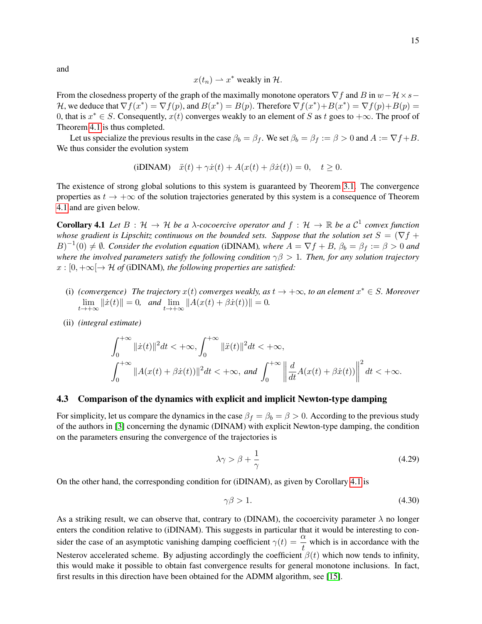and

$$
x(t_n) \to x^*
$$
 weakly in H.

From the closedness property of the graph of the maximally monotone operators  $\nabla f$  and B in  $w-\mathcal{H}\times s-$ H, we deduce that  $\nabla f(x^*) = \nabla f(p)$ , and  $B(x^*) = B(p)$ . Therefore  $\nabla f(x^*) + B(x^*) = \nabla f(p) + B(p) =$ 0, that is  $x^* \in S$ . Consequently,  $x(t)$  converges weakly to an element of S as t goes to  $+\infty$ . The proof of Theorem 4.1 is thus completed.

Let us specialize the previous results in the case  $\beta_b = \beta_f$ . We set  $\beta_b = \beta_f := \beta > 0$  and  $A := \nabla f + B$ . We thus consider the evolution system

(iDINAM) 
$$
\ddot{x}(t) + \gamma \dot{x}(t) + A(x(t) + \beta \dot{x}(t)) = 0, \quad t \ge 0.
$$

The existence of strong global solutions to this system is guaranteed by Theorem 3.1. The convergence properties as  $t \to +\infty$  of the solution trajectories generated by this system is a consequence of Theorem 4.1 and are given below.

**Corollary 4.1** Let  $B: \mathcal{H} \to \mathcal{H}$  be a  $\lambda$ -cocoercive operator and  $f: \mathcal{H} \to \mathbb{R}$  be a  $\mathcal{C}^1$  convex function *whose gradient is Lipschitz continuous on the bounded sets. Suppose that the solution set*  $S = (\nabla f +$  $(B)^{-1}(0) \neq \emptyset$ . Consider the evolution equation (iDINAM), where  $A = \nabla f + B$ ,  $\beta_b = \beta_f := \beta > 0$  and *where the involved parameters satisfy the following condition* γβ > 1*. Then, for any solution trajectory*  $x : [0, +\infty] \rightarrow \mathcal{H}$  of (iDINAM), the following properties are satisfied:

- (i) (*convergence*) The trajectory  $x(t)$  *converges weakly, as*  $t \to +\infty$ *, to an element*  $x^* \in S$ *. Moreover*  $\lim_{t \to +\infty} ||\dot{x}(t)|| = 0$ , and  $\lim_{t \to +\infty} ||A(x(t) + \beta \dot{x}(t))|| = 0$ .
- (ii) *(integral estimate)*

$$
\int_0^{+\infty} \|\dot{x}(t)\|^2 dt < +\infty, \int_0^{+\infty} \|\ddot{x}(t)\|^2 dt < +\infty,
$$
  

$$
\int_0^{+\infty} \|A(x(t) + \beta \dot{x}(t))\|^2 dt < +\infty, \text{ and } \int_0^{+\infty} \left\|\frac{d}{dt}A(x(t) + \beta \dot{x}(t))\right\|^2 dt < +\infty.
$$

#### 4.3 Comparison of the dynamics with explicit and implicit Newton-type damping

For simplicity, let us compare the dynamics in the case  $\beta_f = \beta_b = \beta > 0$ . According to the previous study of the authors in [3] concerning the dynamic (DINAM) with explicit Newton-type damping, the condition on the parameters ensuring the convergence of the trajectories is

$$
\lambda \gamma > \beta + \frac{1}{\gamma} \tag{4.29}
$$

On the other hand, the corresponding condition for (iDINAM), as given by Corollary 4.1 is

$$
\gamma \beta > 1. \tag{4.30}
$$

As a striking result, we can observe that, contrary to (DINAM), the cocoercivity parameter  $\lambda$  no longer enters the condition relative to (iDINAM). This suggests in particular that it would be interesting to consider the case of an asymptotic vanishing damping coefficient  $\gamma(t) = \frac{\alpha}{t}$  which is in accordance with the Nesterov accelerated scheme. By adjusting accordingly the coefficient  $\beta(t)$  which now tends to infinity, this would make it possible to obtain fast convergence results for general monotone inclusions. In fact, first results in this direction have been obtained for the ADMM algorithm, see [15].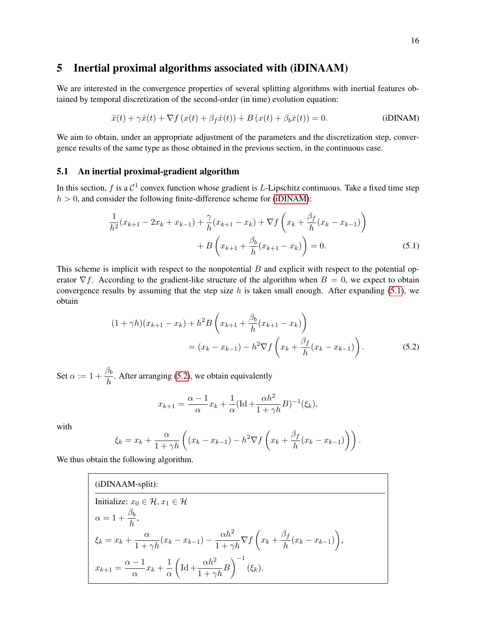## 5 Inertial proximal algorithms associated with (iDINAAM)

We are interested in the convergence properties of several splitting algorithms with inertial features obtained by temporal discretization of the second-order (in time) evolution equation:

$$
\ddot{x}(t) + \gamma \dot{x}(t) + \nabla f(x(t) + \beta_f \dot{x}(t)) + B(x(t) + \beta_b \dot{x}(t)) = 0.
$$
 (iDINAM)

We aim to obtain, under an appropriate adjustment of the parameters and the discretization step, convergence results of the same type as those obtained in the previous section, in the continuous case.

### 5.1 An inertial proximal-gradient algorithm

In this section, f is a  $C^1$  convex function whose gradient is L-Lipschitz continuous. Take a fixed time step  $h > 0$ , and consider the following finite-difference scheme for (iDINAM):

$$
\frac{1}{h^2}(x_{k+1} - 2x_k + x_{k-1}) + \frac{\gamma}{h}(x_{k+1} - x_k) + \nabla f\left(x_k + \frac{\beta_f}{h}(x_k - x_{k-1})\right) \n+ B\left(x_{k+1} + \frac{\beta_b}{h}(x_{k+1} - x_k)\right) = 0.
$$
\n(5.1)

This scheme is implicit with respect to the nonpotential  $B$  and explicit with respect to the potential operator  $\nabla f$ . According to the gradient-like structure of the algorithm when  $B = 0$ , we expect to obtain convergence results by assuming that the step size h is taken small enough. After expanding  $(5.1)$ , we obtain

$$
(1 + \gamma h)(x_{k+1} - x_k) + h^2 B \left( x_{k+1} + \frac{\beta_b}{h} (x_{k+1} - x_k) \right)
$$
  
=  $(x_k - x_{k-1}) - h^2 \nabla f \left( x_k + \frac{\beta_f}{h} (x_k - x_{k-1}) \right).$  (5.2)

Set  $\alpha := 1 + \frac{\beta_b}{1}$  $\frac{\sigma_0}{h}$ . After arranging (5.2), we obtain equivalently

$$
x_{k+1} = \frac{\alpha - 1}{\alpha} x_k + \frac{1}{\alpha} (\text{Id} + \frac{\alpha h^2}{1 + \gamma h} B)^{-1} (\xi_k),
$$

with

$$
\xi_k = x_k + \frac{\alpha}{1 + \gamma h} \left( (x_k - x_{k-1}) - h^2 \nabla f \left( x_k + \frac{\beta_f}{h} (x_k - x_{k-1}) \right) \right).
$$

We thus obtain the following algorithm.

(iDINAAM-split):  
\nInitialize: 
$$
x_0 \in \mathcal{H}, x_1 \in \mathcal{H}
$$
  
\n
$$
\alpha = 1 + \frac{\beta_b}{h},
$$
\n
$$
\xi_k = x_k + \frac{\alpha}{1 + \gamma h} (x_k - x_{k-1}) - \frac{\alpha h^2}{1 + \gamma h} \nabla f \left( x_k + \frac{\beta_f}{h} (x_k - x_{k-1}) \right),
$$
\n
$$
x_{k+1} = \frac{\alpha - 1}{\alpha} x_k + \frac{1}{\alpha} \left( \text{Id} + \frac{\alpha h^2}{1 + \gamma h} B \right)^{-1} (\xi_k).
$$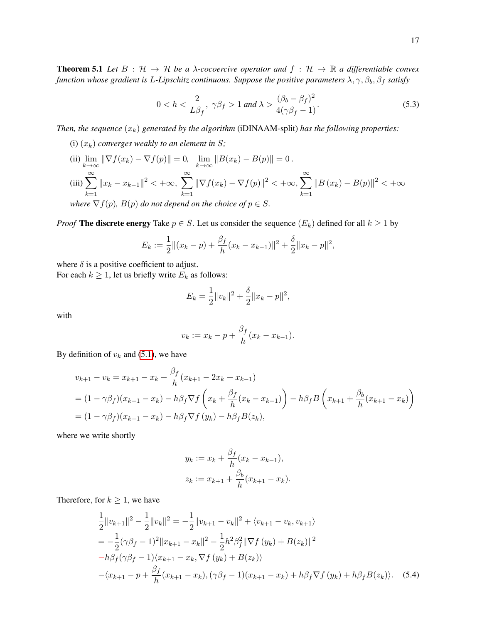**Theorem 5.1** Let  $B : \mathcal{H} \to \mathcal{H}$  be a  $\lambda$ -cocoercive operator and  $f : \mathcal{H} \to \mathbb{R}$  a differentiable convex *function whose gradient is L-Lipschitz continuous. Suppose the positive parameters*  $\lambda$ ,  $\gamma$ ,  $\beta_b$ ,  $\beta_f$  *satisfy* 

$$
0 < h < \frac{2}{L\beta_f}, \ \gamma\beta_f > 1 \ and \ \lambda > \frac{(\beta_b - \beta_f)^2}{4(\gamma\beta_f - 1)}.\tag{5.3}
$$

*Then, the sequence*  $(x_k)$  *generated by the algorithm* (iDINAAM-split) *has the following properties:* 

- (i)  $(x_k)$  *converges weakly to an element in* S;
- (ii)  $\lim_{k \to \infty} \|\nabla f(x_k) \nabla f(p)\| = 0$ ,  $\lim_{k \to \infty} \|B(x_k) B(p)\| = 0$ . (iii)  $\sum_{n=1}^{\infty}$  $_{k=1}$  $||x_k - x_{k-1}||^2 < +\infty, \sum_{k=1}^{\infty}$  $_{k=1}$  $\|\nabla f(x_k) - \nabla f(p)\|^2 < +\infty, \sum_{k=1}^{\infty}$  $k=1$  $||B(x_k) - B(p)||^2 < +\infty$ *where*  $\nabla f(p)$ *,*  $B(p)$  *do not depend on the choice of*  $p \in S$ *.*

*Proof* The discrete energy Take  $p \in S$ . Let us consider the sequence  $(E_k)$  defined for all  $k \geq 1$  by

$$
E_k := \frac{1}{2} ||(x_k - p) + \frac{\beta_f}{h}(x_k - x_{k-1})||^2 + \frac{\delta}{2} ||x_k - p||^2,
$$

where  $\delta$  is a positive coefficient to adjust.

For each  $k \geq 1$ , let us briefly write  $E_k$  as follows:

$$
E_k = \frac{1}{2} ||v_k||^2 + \frac{\delta}{2} ||x_k - p||^2,
$$

with

$$
v_k := x_k - p + \frac{\beta_f}{h}(x_k - x_{k-1}).
$$

By definition of  $v_k$  and (5.1), we have

$$
v_{k+1} - v_k = x_{k+1} - x_k + \frac{\beta_f}{h} (x_{k+1} - 2x_k + x_{k-1})
$$
  
=  $(1 - \gamma \beta_f)(x_{k+1} - x_k) - h\beta_f \nabla f \left( x_k + \frac{\beta_f}{h} (x_k - x_{k-1}) \right) - h\beta_f B \left( x_{k+1} + \frac{\beta_b}{h} (x_{k+1} - x_k) \right)$   
=  $(1 - \gamma \beta_f)(x_{k+1} - x_k) - h\beta_f \nabla f (y_k) - h\beta_f B(z_k),$ 

where we write shortly

$$
y_k := x_k + \frac{\beta_f}{h}(x_k - x_{k-1}),
$$
  

$$
z_k := x_{k+1} + \frac{\beta_b}{h}(x_{k+1} - x_k).
$$

Therefore, for  $k \geq 1$ , we have

$$
\frac{1}{2}||v_{k+1}||^2 - \frac{1}{2}||v_k||^2 = -\frac{1}{2}||v_{k+1} - v_k||^2 + \langle v_{k+1} - v_k, v_{k+1}\rangle
$$
\n
$$
= -\frac{1}{2}(\gamma\beta_f - 1)^2||x_{k+1} - x_k||^2 - \frac{1}{2}h^2\beta_f^2||\nabla f(y_k) + B(z_k)||^2
$$
\n
$$
-h\beta_f(\gamma\beta_f - 1)(x_{k+1} - x_k, \nabla f(y_k) + B(z_k))
$$
\n
$$
-\langle x_{k+1} - p + \frac{\beta_f}{h}(x_{k+1} - x_k), (\gamma\beta_f - 1)(x_{k+1} - x_k) + h\beta_f\nabla f(y_k) + h\beta_fB(z_k)\rangle.
$$
\n(5.4)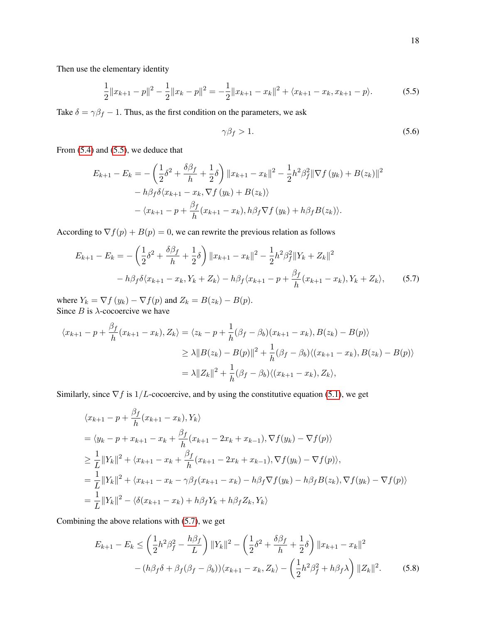Then use the elementary identity

$$
\frac{1}{2}||x_{k+1} - p||^2 - \frac{1}{2}||x_k - p||^2 = -\frac{1}{2}||x_{k+1} - x_k||^2 + \langle x_{k+1} - x_k, x_{k+1} - p \rangle.
$$
 (5.5)

Take  $\delta = \gamma \beta_f - 1$ . Thus, as the first condition on the parameters, we ask

$$
\gamma \beta_f > 1. \tag{5.6}
$$

From (5.4) and (5.5), we deduce that

$$
E_{k+1} - E_k = -\left(\frac{1}{2}\delta^2 + \frac{\delta\beta_f}{h} + \frac{1}{2}\delta\right) \|x_{k+1} - x_k\|^2 - \frac{1}{2}h^2\beta_f^2 \|\nabla f(y_k) + B(z_k)\|^2
$$
  
-  $h\beta_f \delta \langle x_{k+1} - x_k, \nabla f(y_k) + B(z_k) \rangle$   
-  $\langle x_{k+1} - p + \frac{\beta_f}{h}(x_{k+1} - x_k), h\beta_f \nabla f(y_k) + h\beta_f B(z_k) \rangle.$ 

According to  $\nabla f(p) + B(p) = 0$ , we can rewrite the previous relation as follows

$$
E_{k+1} - E_k = -\left(\frac{1}{2}\delta^2 + \frac{\delta\beta_f}{h} + \frac{1}{2}\delta\right) \|x_{k+1} - x_k\|^2 - \frac{1}{2}h^2\beta_f^2 \|Y_k + Z_k\|^2
$$

$$
-h\beta_f\delta\langle x_{k+1} - x_k, Y_k + Z_k \rangle - h\beta_f\langle x_{k+1} - p + \frac{\beta_f}{h}(x_{k+1} - x_k), Y_k + Z_k \rangle, \tag{5.7}
$$

where  $Y_k = \nabla f(y_k) - \nabla f(p)$  and  $Z_k = B(z_k) - B(p)$ . Since  $B$  is  $\lambda$ -cocoercive we have

$$
\langle x_{k+1} - p + \frac{\beta_f}{h} (x_{k+1} - x_k), Z_k \rangle = \langle z_k - p + \frac{1}{h} (\beta_f - \beta_b) (x_{k+1} - x_k), B(z_k) - B(p) \rangle
$$
  
\n
$$
\geq \lambda \| B(z_k) - B(p) \|^2 + \frac{1}{h} (\beta_f - \beta_b) \langle (x_{k+1} - x_k), B(z_k) - B(p) \rangle
$$
  
\n
$$
= \lambda \| Z_k \|^2 + \frac{1}{h} (\beta_f - \beta_b) \langle (x_{k+1} - x_k), Z_k \rangle,
$$

Similarly, since  $\nabla f$  is  $1/L$ -cocoercive, and by using the constitutive equation (5.1), we get

$$
\langle x_{k+1} - p + \frac{\beta_f}{h} (x_{k+1} - x_k), Y_k \rangle
$$
  
=  $\langle y_k - p + x_{k+1} - x_k + \frac{\beta_f}{h} (x_{k+1} - 2x_k + x_{k-1}), \nabla f(y_k) - \nabla f(p) \rangle$   

$$
\geq \frac{1}{L} ||Y_k||^2 + \langle x_{k+1} - x_k + \frac{\beta_f}{h} (x_{k+1} - 2x_k + x_{k-1}), \nabla f(y_k) - \nabla f(p) \rangle,
$$
  
=  $\frac{1}{L} ||Y_k||^2 + \langle x_{k+1} - x_k - \gamma \beta_f (x_{k+1} - x_k) - h \beta_f \nabla f(y_k) - h \beta_f B(z_k), \nabla f(y_k) - \nabla f(p) \rangle$   
=  $\frac{1}{L} ||Y_k||^2 - \langle \delta (x_{k+1} - x_k) + h \beta_f Y_k + h \beta_f Z_k, Y_k \rangle$ 

Combining the above relations with (5.7), we get

$$
E_{k+1} - E_k \le \left(\frac{1}{2}h^2\beta_f^2 - \frac{h\beta_f}{L}\right) ||Y_k||^2 - \left(\frac{1}{2}\delta^2 + \frac{\delta\beta_f}{h} + \frac{1}{2}\delta\right) ||x_{k+1} - x_k||^2
$$

$$
- (h\beta_f\delta + \beta_f(\beta_f - \beta_b))\langle x_{k+1} - x_k, Z_k \rangle - \left(\frac{1}{2}h^2\beta_f^2 + h\beta_f\lambda\right) ||Z_k||^2. \tag{5.8}
$$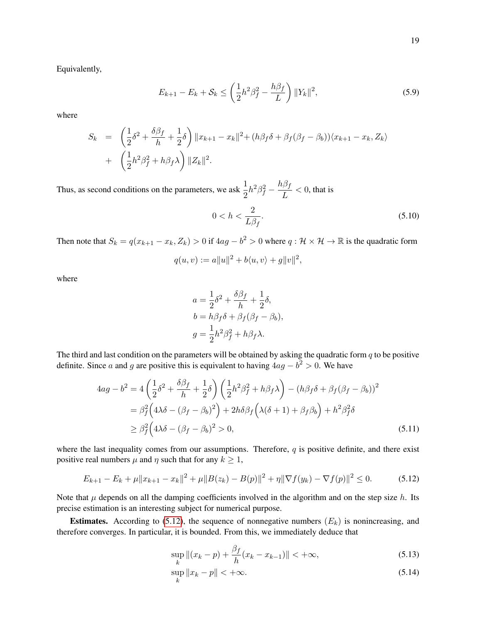Equivalently,

$$
E_{k+1} - E_k + \mathcal{S}_k \le \left(\frac{1}{2}h^2\beta_f^2 - \frac{h\beta_f}{L}\right) ||Y_k||^2, \tag{5.9}
$$

where

$$
S_k = \left(\frac{1}{2}\delta^2 + \frac{\delta\beta_f}{h} + \frac{1}{2}\delta\right) ||x_{k+1} - x_k||^2 + (h\beta_f\delta + \beta_f(\beta_f - \beta_b))\langle x_{k+1} - x_k, Z_k \rangle
$$
  
+ 
$$
\left(\frac{1}{2}h^2\beta_f^2 + h\beta_f\lambda\right) ||Z_k||^2.
$$

Thus, as second conditions on the parameters, we ask  $\frac{1}{2}h^2\beta_f^2 - \frac{h\beta_f}{L}$  $\frac{P}{L}$  < 0, that is

$$
0 < h < \frac{2}{L\beta_f}.\tag{5.10}
$$

Then note that  $S_k = q(x_{k+1} - x_k, Z_k) > 0$  if  $4ag - b^2 > 0$  where  $q: \mathcal{H} \times \mathcal{H} \to \mathbb{R}$  is the quadratic form

$$
q(u, v) := a||u||^2 + b\langle u, v \rangle + g||v||^2,
$$

where

$$
a = \frac{1}{2}\delta^2 + \frac{\delta\beta_f}{h} + \frac{1}{2}\delta,
$$
  
\n
$$
b = h\beta_f\delta + \beta_f(\beta_f - \beta_b),
$$
  
\n
$$
g = \frac{1}{2}h^2\beta_f^2 + h\beta_f\lambda.
$$

The third and last condition on the parameters will be obtained by asking the quadratic form  $q$  to be positive definite. Since a and g are positive this is equivalent to having  $4ag - b^2 > 0$ . We have

$$
4ag - b2 = 4\left(\frac{1}{2}\delta^{2} + \frac{\delta\beta_{f}}{h} + \frac{1}{2}\delta\right)\left(\frac{1}{2}h^{2}\beta_{f}^{2} + h\beta_{f}\lambda\right) - (h\beta_{f}\delta + \beta_{f}(\beta_{f} - \beta_{b}))^{2}
$$
  

$$
= \beta_{f}^{2}\left(4\lambda\delta - (\beta_{f} - \beta_{b})^{2}\right) + 2h\delta\beta_{f}\left(\lambda(\delta + 1) + \beta_{f}\beta_{b}\right) + h^{2}\beta_{f}^{2}\delta
$$
  

$$
\geq \beta_{f}^{2}\left(4\lambda\delta - (\beta_{f} - \beta_{b})^{2} > 0,
$$
 (5.11)

where the last inequality comes from our assumptions. Therefore,  $q$  is positive definite, and there exist positive real numbers  $\mu$  and  $\eta$  such that for any  $k \geq 1$ ,

$$
E_{k+1} - E_k + \mu \|x_{k+1} - x_k\|^2 + \mu \|B(z_k) - B(p)\|^2 + \eta \|\nabla f(y_k) - \nabla f(p)\|^2 \le 0.
$$
 (5.12)

Note that  $\mu$  depends on all the damping coefficients involved in the algorithm and on the step size  $h$ . Its precise estimation is an interesting subject for numerical purpose.

**Estimates.** According to (5.12), the sequence of nonnegative numbers  $(E_k)$  is nonincreasing, and therefore converges. In particular, it is bounded. From this, we immediately deduce that

$$
\sup_{k} \|(x_k - p) + \frac{\beta_f}{h}(x_k - x_{k-1})\| < +\infty,\tag{5.13}
$$

$$
\sup_{k} \|x_k - p\| < +\infty. \tag{5.14}
$$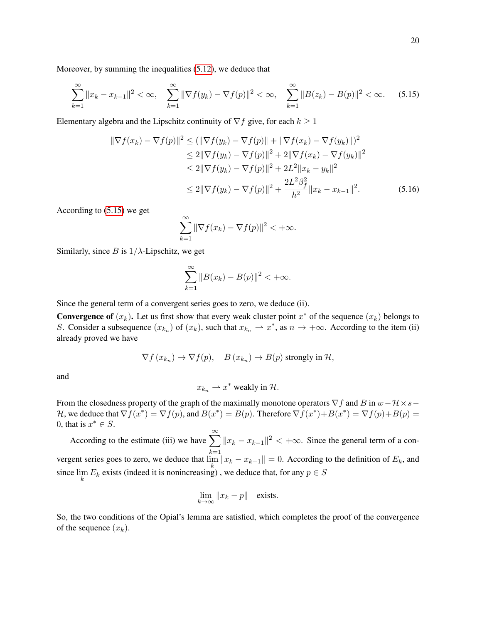Moreover, by summing the inequalities (5.12), we deduce that

$$
\sum_{k=1}^{\infty} \|x_k - x_{k-1}\|^2 < \infty, \quad \sum_{k=1}^{\infty} \|\nabla f(y_k) - \nabla f(p)\|^2 < \infty, \quad \sum_{k=1}^{\infty} \|B(z_k) - B(p)\|^2 < \infty. \tag{5.15}
$$

Elementary algebra and the Lipschitz continuity of  $\nabla f$  give, for each  $k \geq 1$ 

$$
\|\nabla f(x_k) - \nabla f(p)\|^2 \le (\|\nabla f(y_k) - \nabla f(p)\| + \|\nabla f(x_k) - \nabla f(y_k)\|)^2
$$
  
\n
$$
\le 2\|\nabla f(y_k) - \nabla f(p)\|^2 + 2\|\nabla f(x_k) - \nabla f(y_k)\|^2
$$
  
\n
$$
\le 2\|\nabla f(y_k) - \nabla f(p)\|^2 + 2L^2\|x_k - y_k\|^2
$$
  
\n
$$
\le 2\|\nabla f(y_k) - \nabla f(p)\|^2 + \frac{2L^2\beta_f^2}{h^2}\|x_k - x_{k-1}\|^2.
$$
 (5.16)

According to (5.15) we get

$$
\sum_{k=1}^{\infty} \|\nabla f(x_k) - \nabla f(p)\|^2 < +\infty.
$$

Similarly, since B is  $1/\lambda$ -Lipschitz, we get

$$
\sum_{k=1}^{\infty} \|B(x_k) - B(p)\|^2 < +\infty.
$$

Since the general term of a convergent series goes to zero, we deduce (ii).

**Convergence of**  $(x_k)$ . Let us first show that every weak cluster point  $x^*$  of the sequence  $(x_k)$  belongs to S. Consider a subsequence  $(x_{k_n})$  of  $(x_k)$ , such that  $x_{k_n} \to x^*$ , as  $n \to +\infty$ . According to the item (ii) already proved we have

$$
\nabla f(x_{k_n}) \to \nabla f(p), \quad B(x_{k_n}) \to B(p) \text{ strongly in } \mathcal{H},
$$

and

$$
x_{k_n} \rightharpoonup x^*
$$
 weakly in H.

From the closedness property of the graph of the maximally monotone operators  $\nabla f$  and B in  $w-\mathcal{H}\times s-$ H, we deduce that  $\nabla f(x^*) = \nabla f(p)$ , and  $B(x^*) = B(p)$ . Therefore  $\nabla f(x^*) + B(x^*) = \nabla f(p) + B(p) =$ 0, that is  $x^* \in S$ .

According to the estimate (iii) we have  $\sum_{n=1}^{\infty}$  $k=1$  $||x_k - x_{k-1}||^2 < +\infty$ . Since the general term of a convergent series goes to zero, we deduce that  $\lim_{k} ||x_k - x_{k-1}|| = 0$ . According to the definition of  $E_k$ , and since  $\lim_{k} E_k$  exists (indeed it is nonincreasing), we deduce that, for any  $p \in S$ 

$$
\lim_{k \to \infty} ||x_k - p|| \quad \text{exists.}
$$

So, the two conditions of the Opial's lemma are satisfied, which completes the proof of the convergence of the sequence  $(x_k)$ .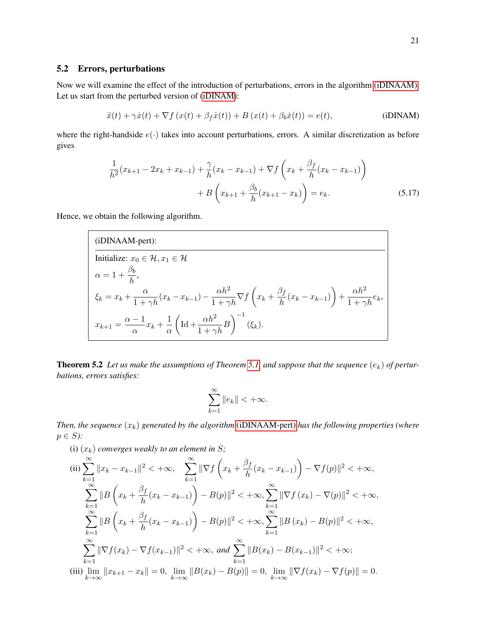#### 5.2 Errors, perturbations

Now we will examine the effect of the introduction of perturbations, errors in the algorithm (iDINAAM). Let us start from the perturbed version of (iDINAM):

$$
\ddot{x}(t) + \gamma \dot{x}(t) + \nabla f(x(t) + \beta_f \dot{x}(t)) + B(x(t) + \beta_b \dot{x}(t)) = e(t),
$$
 (iDINAM)

where the right-handside  $e(\cdot)$  takes into account perturbations, errors. A similar discretization as before gives

$$
\frac{1}{h^2}(x_{k+1} - 2x_k + x_{k-1}) + \frac{\gamma}{h}(x_k - x_{k-1}) + \nabla f\left(x_k + \frac{\beta_f}{h}(x_k - x_{k-1})\right) \n+ B\left(x_{k+1} + \frac{\beta_b}{h}(x_{k+1} - x_k)\right) = e_k.
$$
\n(5.17)

Hence, we obtain the following algorithm.

(iDINAAM-pert):

\n
$$
\overline{\text{Initialize: } x_0 \in \mathcal{H}, x_1 \in \mathcal{H}}
$$
\n
$$
\alpha = 1 + \frac{\beta_b}{h},
$$
\n
$$
\xi_k = x_k + \frac{\alpha}{1 + \gamma h} (x_k - x_{k-1}) - \frac{\alpha h^2}{1 + \gamma h} \nabla f \left( x_k + \frac{\beta_f}{h} (x_k - x_{k-1}) \right) + \frac{\alpha h^2}{1 + \gamma h} e_k,
$$
\n
$$
x_{k+1} = \frac{\alpha - 1}{\alpha} x_k + \frac{1}{\alpha} \left( \text{Id} + \frac{\alpha h^2}{1 + \gamma h} B \right)^{-1} (\xi_k).
$$

**Theorem 5.2** Let us make the assumptions of Theorem 5.1, and suppose that the sequence  $(e_k)$  of pertur*bations, errors satisfies:*

$$
\sum_{k=1}^{\infty} \|e_k\| < +\infty.
$$

*Then, the sequence*  $(x_k)$  *generated by the algorithm* (iDINAAM-pert) *has the following properties* (where p ∈ S*):*

(i)  $(x_k)$  *converges weakly to an element in S*;

(ii) 
$$
\sum_{k=1}^{\infty} ||x_k - x_{k-1}||^2 < +\infty, \quad \sum_{k=1}^{\infty} ||\nabla f\left(x_k + \frac{\beta_f}{h}(x_k - x_{k-1})\right) - \nabla f(p)||^2 < +\infty,
$$
  
\n
$$
\sum_{k=1}^{\infty} ||B\left(x_k + \frac{\beta_f}{h}(x_k - x_{k-1})\right) - B(p)||^2 < +\infty, \sum_{k=1}^{\infty} ||\nabla f(x_k) - \nabla (p)||^2 < +\infty,
$$
  
\n
$$
\sum_{k=1}^{\infty} ||B\left(x_k + \frac{\beta_f}{h}(x_k - x_{k-1})\right) - B(p)||^2 < +\infty, \sum_{k=1}^{\infty} ||B(x_k) - B(p)||^2 < +\infty,
$$
  
\n
$$
\sum_{k=1}^{\infty} ||\nabla f(x_k) - \nabla f(x_{k-1})||^2 < +\infty, \text{ and } \sum_{k=1}^{\infty} ||B(x_k) - B(x_{k-1})||^2 < +\infty;
$$
  
\n(iii) 
$$
\lim_{k \to \infty} ||x_{k+1} - x_k|| = 0, \lim_{k \to \infty} ||B(x_k) - B(p)|| = 0, \lim_{k \to \infty} ||\nabla f(x_k) - \nabla f(p)|| = 0.
$$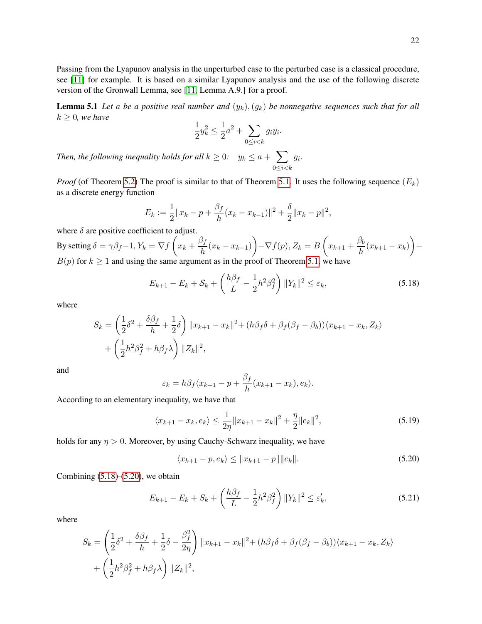Passing from the Lyapunov analysis in the unperturbed case to the perturbed case is a classical procedure, see [11] for example. It is based on a similar Lyapunov analysis and the use of the following discrete version of the Gronwall Lemma, see [11, Lemma A.9.] for a proof.

**Lemma 5.1** Let a be a positive real number and  $(y_k)$ ,  $(y_k)$  be nonnegative sequences such that for all  $k \geq 0$ *, we have* 

$$
\frac{1}{2}y_k^2 \le \frac{1}{2}a^2 + \sum_{0 \le i < k} g_i y_i.
$$

*Then, the following inequality holds for all*  $k \geq 0$ *:*  $y_k \leq a + \sum$  $0 \leq i < k$  $g_i$ .

*Proof* (of Theorem 5.2) The proof is similar to that of Theorem 5.1. It uses the following sequence  $(E_k)$ as a discrete energy function

$$
E_k := \frac{1}{2} ||x_k - p + \frac{\beta_f}{h}(x_k - x_{k-1})||^2 + \frac{\delta}{2} ||x_k - p||^2,
$$

where  $\delta$  are positive coefficient to adjust.

By setting  $\delta = \gamma \beta_f - 1$ ,  $Y_k = \nabla f\left(x_k + \frac{\beta_f}{\hbar}\right)$  $\frac{\beta_f}{h}(x_k - x_{k-1})\bigg) - \nabla f(p), Z_k = B\left(x_{k+1} + \frac{\beta_b}{h}\right)$  $\frac{\beta_{b}}{h}(x_{k+1}-x_{k})$  - $B(p)$  for  $k \ge 1$  and using the same argument as in the proof of Theorem 5.1, we have

$$
E_{k+1} - E_k + \mathcal{S}_k + \left(\frac{h\beta_f}{L} - \frac{1}{2}h^2\beta_f^2\right) ||Y_k||^2 \le \varepsilon_k,
$$
\n(5.18)

where

$$
S_k = \left(\frac{1}{2}\delta^2 + \frac{\delta\beta_f}{h} + \frac{1}{2}\delta\right) \|x_{k+1} - x_k\|^2 + (h\beta_f\delta + \beta_f(\beta_f - \beta_b))\langle x_{k+1} - x_k, Z_k \rangle
$$
  
+ 
$$
\left(\frac{1}{2}h^2\beta_f^2 + h\beta_f\lambda\right) \|Z_k\|^2,
$$

and

$$
\varepsilon_k = h\beta_f \langle x_{k+1} - p + \frac{\beta_f}{h}(x_{k+1} - x_k), e_k \rangle.
$$

According to an elementary inequality, we have that

$$
\langle x_{k+1} - x_k, e_k \rangle \le \frac{1}{2\eta} \|x_{k+1} - x_k\|^2 + \frac{\eta}{2} \|e_k\|^2,
$$
\n(5.19)

holds for any  $\eta > 0$ . Moreover, by using Cauchy-Schwarz inequality, we have

$$
\langle x_{k+1} - p, e_k \rangle \le ||x_{k+1} - p|| ||e_k||. \tag{5.20}
$$

Combining  $(5.18)$ - $(5.20)$ , we obtain

$$
E_{k+1} - E_k + S_k + \left(\frac{h\beta_f}{L} - \frac{1}{2}h^2\beta_f^2\right) ||Y_k||^2 \le \varepsilon'_k,
$$
\n(5.21)

where

$$
S_k = \left(\frac{1}{2}\delta^2 + \frac{\delta\beta_f}{h} + \frac{1}{2}\delta - \frac{\beta_f^2}{2\eta}\right) ||x_{k+1} - x_k||^2 + (h\beta_f\delta + \beta_f(\beta_f - \beta_b))\langle x_{k+1} - x_k, Z_k \rangle
$$
  
+ 
$$
\left(\frac{1}{2}h^2\beta_f^2 + h\beta_f\lambda\right) ||Z_k||^2,
$$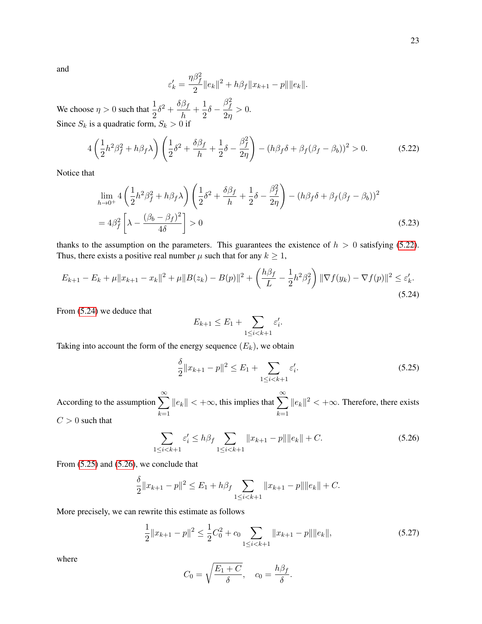and

$$
\varepsilon'_{k} = \frac{\eta \beta_f^2}{2} \|e_k\|^2 + h\beta_f \|x_{k+1} - p\| \|e_k\|.
$$

We choose  $\eta > 0$  such that  $\frac{1}{2}\delta^2 + \frac{\delta\beta_f}{h}$  $\frac{\beta_f}{h}+\frac{1}{2}$  $\frac{1}{2}\delta$  –  $\beta_f^2$  $\frac{1}{2\eta}>0.$ Since  $S_k$  is a quadratic form,  $S_k > 0$  if

$$
4\left(\frac{1}{2}h^2\beta_f^2 + h\beta_f\lambda\right)\left(\frac{1}{2}\delta^2 + \frac{\delta\beta_f}{h} + \frac{1}{2}\delta - \frac{\beta_f^2}{2\eta}\right) - (h\beta_f\delta + \beta_f(\beta_f - \beta_b))^2 > 0.
$$
 (5.22)

Notice that

$$
\lim_{h \to 0^+} 4 \left( \frac{1}{2} h^2 \beta_f^2 + h \beta_f \lambda \right) \left( \frac{1}{2} \delta^2 + \frac{\delta \beta_f}{h} + \frac{1}{2} \delta - \frac{\beta_f^2}{2\eta} \right) - (h \beta_f \delta + \beta_f (\beta_f - \beta_b))^2
$$
  
=  $4\beta_f^2 \left[ \lambda - \frac{(\beta_b - \beta_f)^2}{4\delta} \right] > 0$  (5.23)

thanks to the assumption on the parameters. This guarantees the existence of  $h > 0$  satisfying (5.22). Thus, there exists a positive real number  $\mu$  such that for any  $k \geq 1$ ,

$$
E_{k+1} - E_k + \mu \|x_{k+1} - x_k\|^2 + \mu \|B(z_k) - B(p)\|^2 + \left(\frac{h\beta_f}{L} - \frac{1}{2}h^2\beta_f^2\right) \|\nabla f(y_k) - \nabla f(p)\|^2 \le \varepsilon'_k.
$$
\n(5.24)

From (5.24) we deduce that

$$
E_{k+1} \leq E_1 + \sum_{1 \leq i < k+1} \varepsilon'_i.
$$

Taking into account the form of the energy sequence  $(E_k)$ , we obtain

$$
\frac{\delta}{2} \|x_{k+1} - p\|^2 \le E_1 + \sum_{1 \le i < k+1} \varepsilon'_i. \tag{5.25}
$$

According to the assumption  $\sum_{n=1}^{\infty}$  $k=1$  $||e_k|| < +\infty$ , this implies that  $\sum_{n=1}^{\infty}$  $k=1$  $||e_k||^2 < +\infty$ . Therefore, there exists  $C > 0$  such that

$$
\sum_{1 \le i < k+1} \varepsilon_i' \le h \beta_f \sum_{1 \le i < k+1} \|x_{k+1} - p\| \|e_k\| + C. \tag{5.26}
$$

From (5.25) and (5.26), we conclude that

$$
\frac{\delta}{2}||x_{k+1} - p||^2 \le E_1 + h\beta_f \sum_{1 \le i < k+1} ||x_{k+1} - p|| ||e_k|| + C.
$$

More precisely, we can rewrite this estimate as follows

$$
\frac{1}{2}||x_{k+1} - p||^2 \le \frac{1}{2}C_0^2 + c_0 \sum_{1 \le i < k+1} ||x_{k+1} - p|| ||e_k||,\tag{5.27}
$$

where

$$
C_0 = \sqrt{\frac{E_1 + C}{\delta}}, \quad c_0 = \frac{h\beta_f}{\delta}.
$$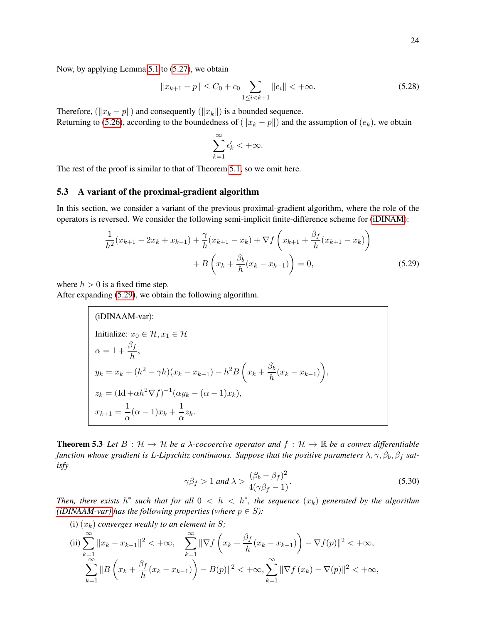Now, by applying Lemma 5.1 to (5.27), we obtain

$$
||x_{k+1} - p|| \le C_0 + c_0 \sum_{1 \le i < k+1} ||e_i|| < +\infty. \tag{5.28}
$$

Therefore, ( $||x_k - p||$ ) and consequently ( $||x_k||$ ) is a bounded sequence. Returning to (5.26), according to the boundedness of ( $||x_k - p||$ ) and the assumption of  $(e_k)$ , we obtain

$$
\sum_{k=1}^\infty \epsilon'_k < +\infty.
$$

The rest of the proof is similar to that of Theorem 5.1, so we omit here.

#### 5.3 A variant of the proximal-gradient algorithm

In this section, we consider a variant of the previous proximal-gradient algorithm, where the role of the operators is reversed. We consider the following semi-implicit finite-difference scheme for (iDINAM):

$$
\frac{1}{h^2}(x_{k+1} - 2x_k + x_{k-1}) + \frac{\gamma}{h}(x_{k+1} - x_k) + \nabla f\left(x_{k+1} + \frac{\beta_f}{h}(x_{k+1} - x_k)\right) \n+ B\left(x_k + \frac{\beta_b}{h}(x_k - x_{k-1})\right) = 0,
$$
\n(5.29)

where  $h > 0$  is a fixed time step.

After expanding (5.29), we obtain the following algorithm.

(iDINAAM-var):

\n
$$
\begin{aligned}\n\text{Initialize: } &x_0 \in \mathcal{H}, x_1 \in \mathcal{H} \\
\alpha = 1 + \frac{\beta_f}{h}, \\
y_k = x_k + (h^2 - \gamma h)(x_k - x_{k-1}) - h^2 B\left(x_k + \frac{\beta_b}{h}(x_k - x_{k-1})\right), \\
z_k = (\text{Id} + \alpha h^2 \nabla f)^{-1} (\alpha y_k - (\alpha - 1)x_k), \\
x_{k+1} = \frac{1}{\alpha} (\alpha - 1) x_k + \frac{1}{\alpha} z_k.\n\end{aligned}
$$

**Theorem 5.3** Let  $B : \mathcal{H} \to \mathcal{H}$  be a  $\lambda$ -cocoercive operator and  $f : \mathcal{H} \to \mathbb{R}$  be a convex differentiable *function whose gradient is L-Lipschitz continuous. Suppose that the positive parameters*  $\lambda$ ,  $\gamma$ ,  $\beta_b$ ,  $\beta_f$  *satisfy*

$$
\gamma \beta_f > 1 \text{ and } \lambda > \frac{(\beta_b - \beta_f)^2}{4(\gamma \beta_f - 1)}.
$$
\n(5.30)

*Then, there exists*  $h^*$  such that for all  $0 < h < h^*$ , the sequence  $(x_k)$  generated by the algorithm *(iDINAAM-var)* has the following properties (where  $p \in S$ ):

(i)  $(x_k)$  *converges weakly to an element in S*;

(ii) 
$$
\sum_{k=1}^{\infty} ||x_k - x_{k-1}||^2 < +\infty, \quad \sum_{k=1}^{\infty} ||\nabla f\left(x_k + \frac{\beta_f}{h}(x_k - x_{k-1})\right) - \nabla f(p)||^2 < +\infty, \sum_{k=1}^{\infty} ||B\left(x_k + \frac{\beta_f}{h}(x_k - x_{k-1})\right) - B(p)||^2 < +\infty, \sum_{k=1}^{\infty} ||\nabla f(x_k) - \nabla (p)||^2 < +\infty,
$$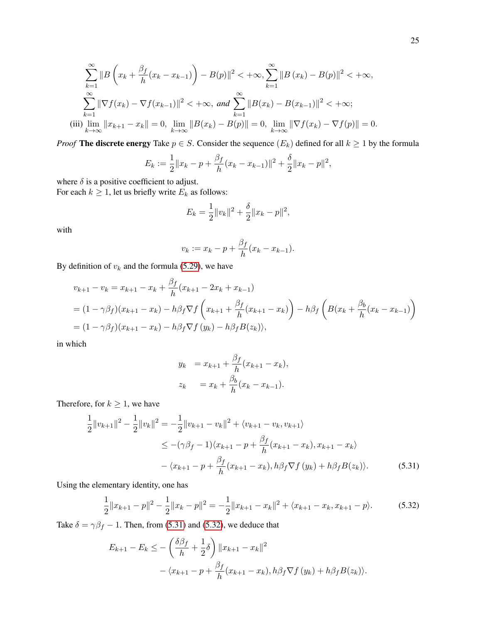$$
\sum_{k=1}^{\infty} \|B\left(x_k + \frac{\beta_f}{h}(x_k - x_{k-1})\right) - B(p)\|^2 < +\infty, \sum_{k=1}^{\infty} \|B(x_k) - B(p)\|^2 < +\infty,
$$
  

$$
\sum_{k=1}^{\infty} \|\nabla f(x_k) - \nabla f(x_{k-1})\|^2 < +\infty, \text{ and } \sum_{k=1}^{\infty} \|B(x_k) - B(x_{k-1})\|^2 < +\infty;
$$
  
(iii) 
$$
\lim_{k \to \infty} \|x_{k+1} - x_k\| = 0, \lim_{k \to \infty} \|B(x_k) - B(p)\| = 0, \lim_{k \to \infty} \|\nabla f(x_k) - \nabla f(p)\| = 0.
$$

*Proof* The discrete energy Take  $p \in S$ . Consider the sequence  $(E_k)$  defined for all  $k \ge 1$  by the formula

$$
E_k := \frac{1}{2} ||x_k - p + \frac{\beta_f}{h} (x_k - x_{k-1})||^2 + \frac{\delta}{2} ||x_k - p||^2,
$$

where  $\delta$  is a positive coefficient to adjust. For each  $k \geq 1$ , let us briefly write  $E_k$  as follows:

$$
E_k = \frac{1}{2} ||v_k||^2 + \frac{\delta}{2} ||x_k - p||^2,
$$

with

$$
v_k := x_k - p + \frac{\beta_f}{h}(x_k - x_{k-1}).
$$

By definition of  $v_k$  and the formula (5.29), we have

$$
v_{k+1} - v_k = x_{k+1} - x_k + \frac{\beta_f}{h} (x_{k+1} - 2x_k + x_{k-1})
$$
  
=  $(1 - \gamma \beta_f)(x_{k+1} - x_k) - h\beta_f \nabla f \left( x_{k+1} + \frac{\beta_f}{h} (x_{k+1} - x_k) \right) - h\beta_f \left( B(x_k + \frac{\beta_b}{h} (x_k - x_{k-1}) \right)$   
=  $(1 - \gamma \beta_f)(x_{k+1} - x_k) - h\beta_f \nabla f (y_k) - h\beta_f B(z_k)),$ 

in which

$$
y_k = x_{k+1} + \frac{\beta_f}{h}(x_{k+1} - x_k),
$$
  

$$
z_k = x_k + \frac{\beta_b}{h}(x_k - x_{k-1}).
$$

Therefore, for  $k \geq 1$ , we have

$$
\frac{1}{2}||v_{k+1}||^2 - \frac{1}{2}||v_k||^2 = -\frac{1}{2}||v_{k+1} - v_k||^2 + \langle v_{k+1} - v_k, v_{k+1}\rangle
$$
  
\n
$$
\leq -(\gamma\beta_f - 1)\langle x_{k+1} - p + \frac{\beta_f}{h}(x_{k+1} - x_k), x_{k+1} - x_k\rangle
$$
  
\n
$$
- \langle x_{k+1} - p + \frac{\beta_f}{h}(x_{k+1} - x_k), h\beta_f \nabla f(y_k) + h\beta_f B(z_k)\rangle.
$$
 (5.31)

Using the elementary identity, one has

$$
\frac{1}{2}||x_{k+1} - p||^2 - \frac{1}{2}||x_k - p||^2 = -\frac{1}{2}||x_{k+1} - x_k||^2 + \langle x_{k+1} - x_k, x_{k+1} - p \rangle.
$$
 (5.32)

Take  $\delta = \gamma \beta_f - 1$ . Then, from (5.31) and (5.32), we deduce that

$$
E_{k+1} - E_k \leq -\left(\frac{\delta\beta_f}{h} + \frac{1}{2}\delta\right) \|x_{k+1} - x_k\|^2
$$
  
 
$$
- \langle x_{k+1} - p + \frac{\beta_f}{h}(x_{k+1} - x_k), h\beta_f \nabla f(y_k) + h\beta_f B(z_k) \rangle.
$$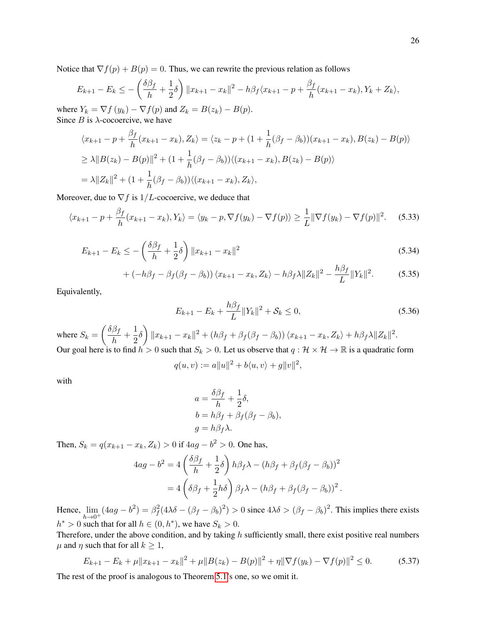Notice that  $\nabla f(p) + B(p) = 0$ . Thus, we can rewrite the previous relation as follows

$$
E_{k+1} - E_k \le -\left(\frac{\delta\beta_f}{h} + \frac{1}{2}\delta\right) \|x_{k+1} - x_k\|^2 - h\beta_f \langle x_{k+1} - p + \frac{\beta_f}{h} (x_{k+1} - x_k), Y_k + Z_k \rangle,
$$

where  $Y_k = \nabla f(y_k) - \nabla f(p)$  and  $Z_k = B(z_k) - B(p)$ . Since  $B$  is  $\lambda$ -cocoercive, we have

$$
\langle x_{k+1} - p + \frac{\beta_f}{h} (x_{k+1} - x_k), Z_k \rangle = \langle z_k - p + (1 + \frac{1}{h} (\beta_f - \beta_b)) (x_{k+1} - x_k), B(z_k) - B(p) \rangle
$$
  
\n
$$
\geq \lambda \| B(z_k) - B(p) \|^2 + (1 + \frac{1}{h} (\beta_f - \beta_b)) \langle (x_{k+1} - x_k), B(z_k) - B(p) \rangle
$$
  
\n
$$
= \lambda \| Z_k \|^2 + (1 + \frac{1}{h} (\beta_f - \beta_b)) \langle (x_{k+1} - x_k), Z_k \rangle,
$$

Moreover, due to  $\nabla f$  is  $1/L$ -cocoercive, we deduce that

$$
\langle x_{k+1}-p+\frac{\beta_f}{h}(x_{k+1}-x_k), Y_k \rangle = \langle y_k-p, \nabla f(y_k)-\nabla f(p) \rangle \ge \frac{1}{L} \|\nabla f(y_k)-\nabla f(p)\|^2. \tag{5.33}
$$

$$
E_{k+1} - E_k \le -\left(\frac{\delta\beta_f}{h} + \frac{1}{2}\delta\right) \|x_{k+1} - x_k\|^2
$$
\n(5.34)

$$
+(-h\beta_f - \beta_f(\beta_f - \beta_b))\langle x_{k+1} - x_k, Z_k \rangle - h\beta_f\lambda ||Z_k||^2 - \frac{h\beta_f}{L}||Y_k||^2. \tag{5.35}
$$

Equivalently,

$$
E_{k+1} - E_k + \frac{h\beta_f}{L} \|Y_k\|^2 + \mathcal{S}_k \le 0,
$$
\n(5.36)

where  $S_k = \left(\frac{\delta \beta_f}{h}\right)$  $\frac{\beta_f}{h}+\frac{1}{2}$  $\frac{1}{2}\delta\bigg)\|x_{k+1}-x_k\|^2+(h\beta_f+\beta_f(\beta_f-\beta_b))\left\langle x_{k+1}-x_k,Z_k\right\rangle+h\beta_f\lambda\|Z_k\|^2.$ Our goal here is to find  $h > 0$  such that  $S_k > 0$ . Let us observe that  $q : \mathcal{H} \times \mathcal{H} \to \mathbb{R}$  is a quadratic form

$$
q(u, v) := a||u||^2 + b\langle u, v \rangle + g||v||^2,
$$

with

$$
a = \frac{\delta \beta_f}{h} + \frac{1}{2}\delta,
$$
  
\n
$$
b = h\beta_f + \beta_f(\beta_f - \beta_b),
$$
  
\n
$$
g = h\beta_f\lambda.
$$

Then,  $S_k = q(x_{k+1} - x_k, Z_k) > 0$  if  $4ag - b^2 > 0$ . One has,

$$
4ag - b2 = 4\left(\frac{\delta\beta_f}{h} + \frac{1}{2}\delta\right)h\beta_f\lambda - (h\beta_f + \beta_f(\beta_f - \beta_b))^2
$$

$$
= 4\left(\delta\beta_f + \frac{1}{2}h\delta\right)\beta_f\lambda - (h\beta_f + \beta_f(\beta_f - \beta_b))^2.
$$

Hence,  $\lim_{h\to 0^+} (4ag - b^2) = \beta_f^2 (4\lambda \delta - (\beta_f - \beta_b)^2) > 0$  since  $4\lambda \delta > (\beta_f - \beta_b)^2$ . This implies there exists  $h^* > 0$  such that for all  $h \in (0, h^*)$ , we have  $S_k > 0$ .

Therefore, under the above condition, and by taking  $h$  sufficiently small, there exist positive real numbers  $\mu$  and  $\eta$  such that for all  $k \geq 1$ ,

$$
E_{k+1} - E_k + \mu \|x_{k+1} - x_k\|^2 + \mu \|B(z_k) - B(p)\|^2 + \eta \|\nabla f(y_k) - \nabla f(p)\|^2 \le 0.
$$
 (5.37)

The rest of the proof is analogous to Theorem 5.1's one, so we omit it.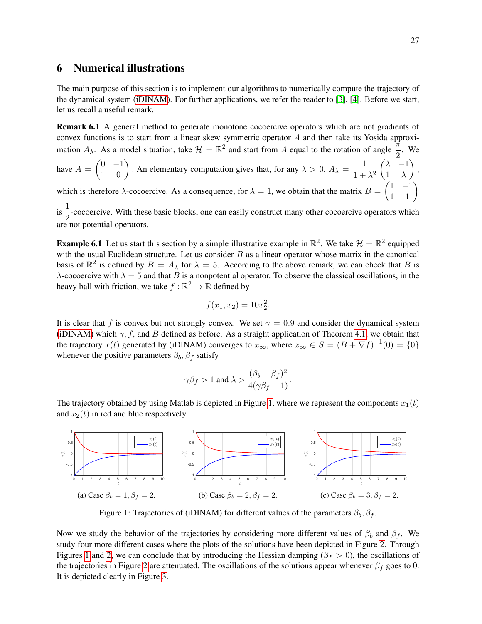### 6 Numerical illustrations

The main purpose of this section is to implement our algorithms to numerically compute the trajectory of the dynamical system (iDINAM). For further applications, we refer the reader to [3], [4]. Before we start, let us recall a useful remark.

Remark 6.1 A general method to generate monotone cocoercive operators which are not gradients of convex functions is to start from a linear skew symmetric operator A and then take its Yosida approximation  $A_{\lambda}$ . As a model situation, take  $\mathcal{H} = \mathbb{R}^2$  and start from A equal to the rotation of angle  $\frac{\pi}{2}$ . We have  $A = \begin{pmatrix} 0 & -1 \\ 1 & 0 \end{pmatrix}$ . An elementary computation gives that, for any  $\lambda > 0$ ,  $A_{\lambda} = \frac{1}{1 + \lambda}$  $1 + \lambda^2$  $(\lambda$  −1  $1 \lambda$  $\Big),$ 

which is therefore  $\lambda$ -cocoercive. As a consequence, for  $\lambda = 1$ , we obtain that the matrix  $B = \begin{pmatrix} 1 & -1 \\ 1 & 1 \end{pmatrix}$ 

is  $\frac{1}{2}$ -cocoercive. With these basic blocks, one can easily construct many other cocoercive operators which are not potential operators.

**Example 6.1** Let us start this section by a simple illustrative example in  $\mathbb{R}^2$ . We take  $\mathcal{H} = \mathbb{R}^2$  equipped with the usual Euclidean structure. Let us consider  $B$  as a linear operator whose matrix in the canonical basis of  $\mathbb{R}^2$  is defined by  $B = A_\lambda$  for  $\lambda = 5$ . According to the above remark, we can check that B is λ-cocoercive with  $\lambda = 5$  and that B is a nonpotential operator. To observe the classical oscillations, in the heavy ball with friction, we take  $f : \mathbb{R}^2 \to \mathbb{R}$  defined by

$$
f(x_1, x_2) = 10x_2^2.
$$

It is clear that f is convex but not strongly convex. We set  $\gamma = 0.9$  and consider the dynamical system (iDINAM) which  $\gamma$ , f, and B defined as before. As a straight application of Theorem 4.1, we obtain that the trajectory  $x(t)$  generated by (iDINAM) converges to  $x_{\infty}$ , where  $x_{\infty} \in S = (B + \nabla f)^{-1}(0) = \{0\}$ whenever the positive parameters  $\beta_b$ ,  $\beta_f$  satisfy

$$
\gamma \beta_f > 1
$$
 and  $\lambda > \frac{(\beta_b - \beta_f)^2}{4(\gamma \beta_f - 1)}$ .

The trajectory obtained by using Matlab is depicted in Figure 1, where we represent the components  $x_1(t)$ and  $x_2(t)$  in red and blue respectively.



Figure 1: Trajectories of (iDINAM) for different values of the parameters  $\beta_b$ ,  $\beta_f$ .

Now we study the behavior of the trajectories by considering more different values of  $\beta_b$  and  $\beta_f$ . We study four more different cases where the plots of the solutions have been depicted in Figure 2. Through Figures 1 and 2, we can conclude that by introducing the Hessian damping ( $\beta_f > 0$ ), the oscillations of the trajectories in Figure 2 are attenuated. The oscillations of the solutions appear whenever  $\beta_f$  goes to 0. It is depicted clearly in Figure 3.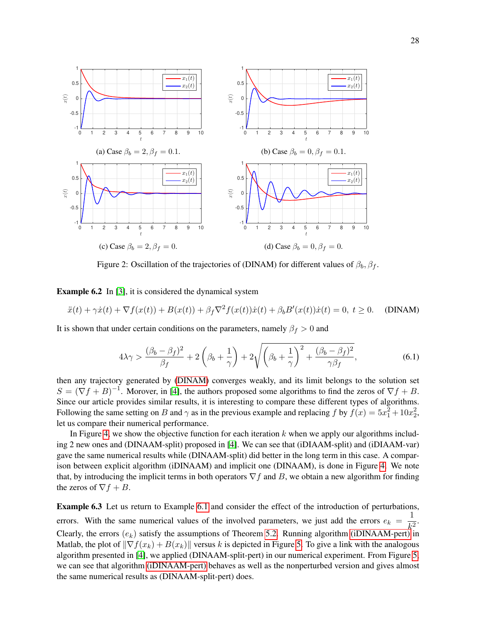

Figure 2: Oscillation of the trajectories of (DINAM) for different values of  $\beta_b$ ,  $\beta_f$ .

Example 6.2 In [3], it is considered the dynamical system

$$
\ddot{x}(t) + \gamma \dot{x}(t) + \nabla f(x(t)) + B(x(t)) + \beta_f \nabla^2 f(x(t)) \dot{x}(t) + \beta_b B'(x(t)) \dot{x}(t) = 0, \ t \ge 0.
$$
 (DINAM)

It is shown that under certain conditions on the parameters, namely  $\beta_f > 0$  and

$$
4\lambda\gamma > \frac{(\beta_b - \beta_f)^2}{\beta_f} + 2\left(\beta_b + \frac{1}{\gamma}\right) + 2\sqrt{\left(\beta_b + \frac{1}{\gamma}\right)^2 + \frac{(\beta_b - \beta_f)^2}{\gamma\beta_f}},\tag{6.1}
$$

then any trajectory generated by (DINAM) converges weakly, and its limit belongs to the solution set  $S = (\nabla f + B)^{-1}$ . Morover, in [4], the authors proposed some algorithms to find the zeros of  $\nabla f + B$ . Since our article provides similar results, it is interesting to compare these different types of algorithms. Following the same setting on B and  $\gamma$  as in the previous example and replacing f by  $f(x) = 5x_1^2 + 10x_2^2$ , let us compare their numerical performance.

In Figure 4, we show the objective function for each iteration  $k$  when we apply our algorithms including 2 new ones and (DINAAM-split) proposed in [4]. We can see that (iDIAAM-split) and (iDIAAM-var) gave the same numerical results while (DINAAM-split) did better in the long term in this case. A comparison between explicit algorithm (iDINAAM) and implicit one (DINAAM), is done in Figure 4. We note that, by introducing the implicit terms in both operators  $\nabla f$  and B, we obtain a new algorithm for finding the zeros of  $\nabla f + B$ .

Example 6.3 Let us return to Example 6.1 and consider the effect of the introduction of perturbations, errors. With the same numerical values of the involved parameters, we just add the errors  $e_k = \frac{1}{k^2}$  $\frac{1}{k^2}$ . Clearly, the errors  $(e_k)$  satisfy the assumptions of Theorem 5.2. Running algorithm (iDINAAM-pert) in Matlab, the plot of  $\|\nabla f(x_k) + B(x_k)\|$  versus k is depicted in Figure 5. To give a link with the analogous algorithm presented in [4], we applied (DINAAM-split-pert) in our numerical experiment. From Figure 5, we can see that algorithm (iDINAAM-pert) behaves as well as the nonperturbed version and gives almost the same numerical results as (DINAAM-split-pert) does.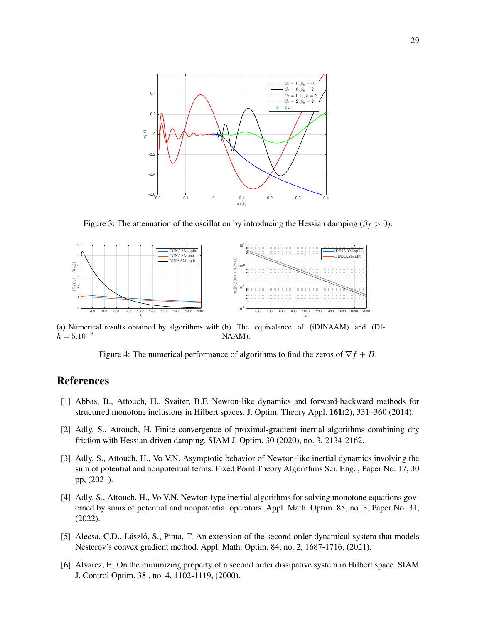

Figure 3: The attenuation of the oscillation by introducing the Hessian damping ( $\beta_f > 0$ ).



(a) Numerical results obtained by algorithms with (b) The equivalance of (iDINAAM) and (DI $h = 5.10^{-3}$ NAAM).

Figure 4: The numerical performance of algorithms to find the zeros of  $\nabla f + B$ .

## References

- [1] Abbas, B., Attouch, H., Svaiter, B.F. Newton-like dynamics and forward-backward methods for structured monotone inclusions in Hilbert spaces. J. Optim. Theory Appl. 161(2), 331–360 (2014).
- [2] Adly, S., Attouch, H. Finite convergence of proximal-gradient inertial algorithms combining dry friction with Hessian-driven damping. SIAM J. Optim. 30 (2020), no. 3, 2134-2162.
- [3] Adly, S., Attouch, H., Vo V.N. Asymptotic behavior of Newton-like inertial dynamics involving the sum of potential and nonpotential terms. Fixed Point Theory Algorithms Sci. Eng. , Paper No. 17, 30 pp, (2021).
- [4] Adly, S., Attouch, H., Vo V.N. Newton-type inertial algorithms for solving monotone equations governed by sums of potential and nonpotential operators. Appl. Math. Optim. 85, no. 3, Paper No. 31, (2022).
- [5] Alecsa, C.D., László, S., Pinta, T. An extension of the second order dynamical system that models Nesterov's convex gradient method. Appl. Math. Optim. 84, no. 2, 1687-1716, (2021).
- [6] Alvarez, F., On the minimizing property of a second order dissipative system in Hilbert space. SIAM J. Control Optim. 38 , no. 4, 1102-1119, (2000).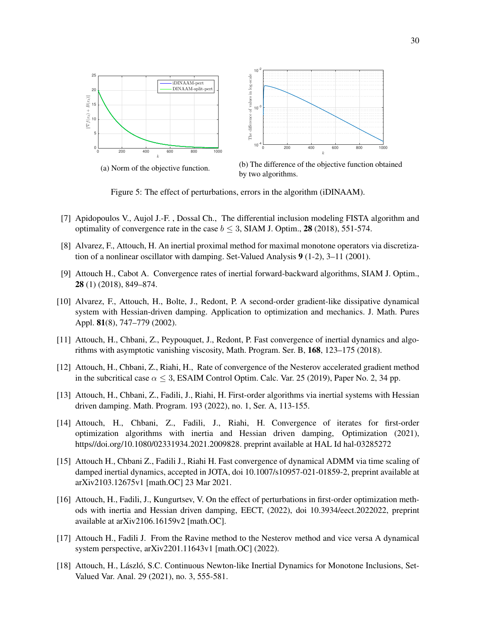

(a) Norm of the objective function.

0

+<br>∫\_\_\_<br>|<u>∑</u><br>|

 $B(x_k)\Vert$ 



Figure 5: The effect of perturbations, errors in the algorithm (iDINAAM).

- [7] Apidopoulos V., Aujol J.-F. , Dossal Ch., The differential inclusion modeling FISTA algorithm and optimality of convergence rate in the case  $b \leq 3$ , SIAM J. Optim., 28 (2018), 551-574.
- [8] Alvarez, F., Attouch, H. An inertial proximal method for maximal monotone operators via discretization of a nonlinear oscillator with damping. Set-Valued Analysis  $9(1-2)$ , 3–11 (2001).
- [9] Attouch H., Cabot A. Convergence rates of inertial forward-backward algorithms, SIAM J. Optim., 28 (1) (2018), 849–874.
- [10] Alvarez, F., Attouch, H., Bolte, J., Redont, P. A second-order gradient-like dissipative dynamical system with Hessian-driven damping. Application to optimization and mechanics. J. Math. Pures Appl. 81(8), 747–779 (2002).
- [11] Attouch, H., Chbani, Z., Peypouquet, J., Redont, P. Fast convergence of inertial dynamics and algorithms with asymptotic vanishing viscosity, Math. Program. Ser. B, 168, 123–175 (2018).
- [12] Attouch, H., Chbani, Z., Riahi, H., Rate of convergence of the Nesterov accelerated gradient method in the subcritical case  $\alpha \leq 3$ , ESAIM Control Optim. Calc. Var. 25 (2019), Paper No. 2, 34 pp.
- [13] Attouch, H., Chbani, Z., Fadili, J., Riahi, H. First-order algorithms via inertial systems with Hessian driven damping. Math. Program. 193 (2022), no. 1, Ser. A, 113-155.
- [14] Attouch, H., Chbani, Z., Fadili, J., Riahi, H. Convergence of iterates for first-order optimization algorithms with inertia and Hessian driven damping, Optimization (2021), https//doi.org/10.1080/02331934.2021.2009828. preprint available at HAL Id hal-03285272
- [15] Attouch H., Chbani Z., Fadili J., Riahi H. Fast convergence of dynamical ADMM via time scaling of damped inertial dynamics, accepted in JOTA, doi 10.1007/s10957-021-01859-2, preprint available at arXiv2103.12675v1 [math.OC] 23 Mar 2021.
- [16] Attouch, H., Fadili, J., Kungurtsev, V. On the effect of perturbations in first-order optimization methods with inertia and Hessian driven damping, EECT, (2022), doi 10.3934/eect.2022022, preprint available at arXiv2106.16159v2 [math.OC].
- [17] Attouch H., Fadili J. From the Ravine method to the Nesterov method and vice versa A dynamical system perspective, arXiv2201.11643v1 [math.OC] (2022).
- [18] Attouch, H., László, S.C. Continuous Newton-like Inertial Dynamics for Monotone Inclusions, Set-Valued Var. Anal. 29 (2021), no. 3, 555-581.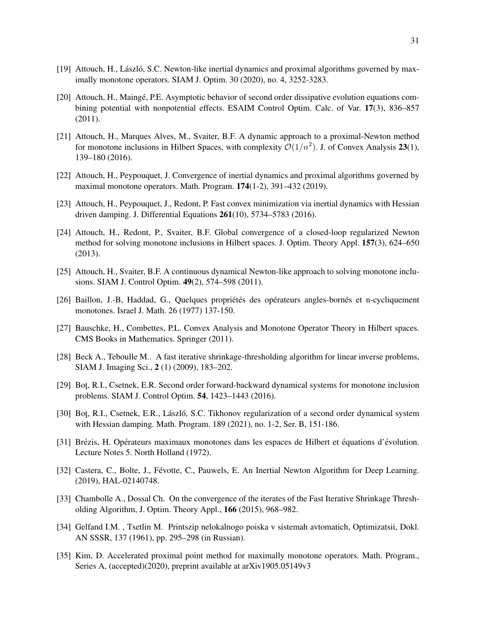- [19] Attouch, H., László, S.C. Newton-like inertial dynamics and proximal algorithms governed by maximally monotone operators. SIAM J. Optim. 30 (2020), no. 4, 3252-3283.
- [20] Attouch, H., Maingé, P.E. Asymptotic behavior of second order dissipative evolution equations combining potential with nonpotential effects. ESAIM Control Optim. Calc. of Var. 17(3), 836–857 (2011).
- [21] Attouch, H., Marques Alves, M., Svaiter, B.F. A dynamic approach to a proximal-Newton method for monotone inclusions in Hilbert Spaces, with complexity  $\mathcal{O}(1/n^2)$ . J. of Convex Analysis 23(1), 139–180 (2016).
- [22] Attouch, H., Peypouquet, J. Convergence of inertial dynamics and proximal algorithms governed by maximal monotone operators. Math. Program. 174(1-2), 391–432 (2019).
- [23] Attouch, H., Peypouquet, J., Redont, P. Fast convex minimization via inertial dynamics with Hessian driven damping. J. Differential Equations 261(10), 5734–5783 (2016).
- [24] Attouch, H., Redont, P., Svaiter, B.F. Global convergence of a closed-loop regularized Newton method for solving monotone inclusions in Hilbert spaces. J. Optim. Theory Appl. 157(3), 624–650 (2013).
- [25] Attouch, H., Svaiter, B.F. A continuous dynamical Newton-like approach to solving monotone inclusions. SIAM J. Control Optim. 49(2), 574–598 (2011).
- [26] Baillon, J.-B, Haddad, G., Quelques propriétés des opérateurs angles-bornés et n-cycliquement monotones. Israel J. Math. 26 (1977) 137-150.
- [27] Bauschke, H., Combettes, P.L. Convex Analysis and Monotone Operator Theory in Hilbert spaces. CMS Books in Mathematics. Springer (2011).
- [28] Beck A., Teboulle M.. A fast iterative shrinkage-thresholding algorithm for linear inverse problems, SIAM J. Imaging Sci., 2 (1) (2009), 183–202.
- [29] Bot¸, R.I., Csetnek, E.R. Second order forward-backward dynamical systems for monotone inclusion problems. SIAM J. Control Optim. 54, 1423–1443 (2016).
- [30] Bot, R.I., Csetnek, E.R., László, S.C. Tikhonov regularization of a second order dynamical system with Hessian damping. Math. Program. 189 (2021), no. 1-2, Ser. B, 151-186.
- [31] Brézis, H. Opérateurs maximaux monotones dans les espaces de Hilbert et équations d'évolution. Lecture Notes 5. North Holland (1972).
- [32] Castera, C., Bolte, J., Févotte, C., Pauwels, E. An Inertial Newton Algorithm for Deep Learning. (2019), HAL-02140748.
- [33] Chambolle A., Dossal Ch. On the convergence of the iterates of the Fast Iterative Shrinkage Thresholding Algorithm, J. Optim. Theory Appl., 166 (2015), 968–982.
- [34] Gelfand I.M. , Tsetlin M. Printszip nelokalnogo poiska v sistemah avtomatich, Optimizatsii, Dokl. AN SSSR, 137 (1961), pp. 295–298 (in Russian).
- [35] Kim, D. Accelerated proximal point method for maximally monotone operators. Math. Program., Series A, (accepted)(2020), preprint available at arXiv1905.05149v3